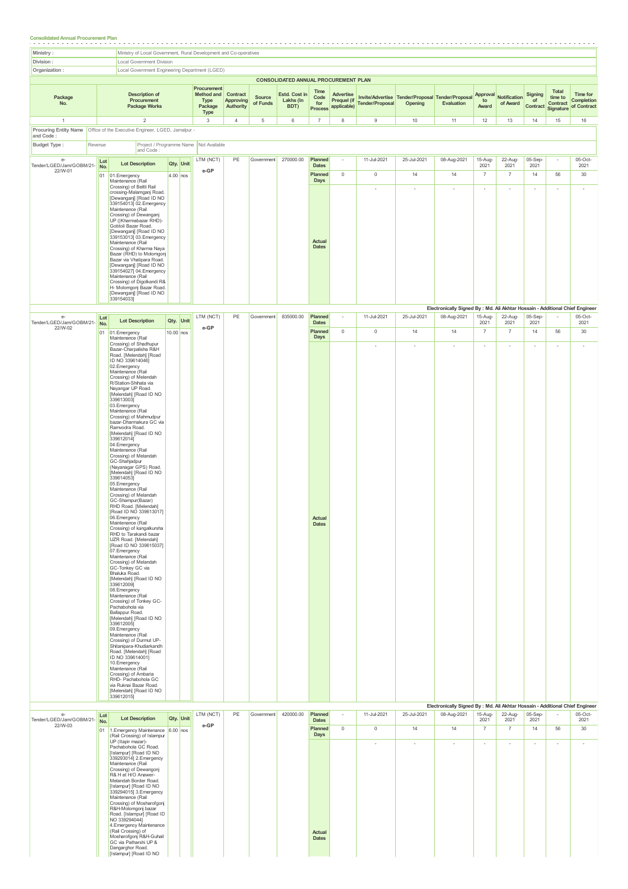## **Consolidated Annual Procurement Plan**

|                                           |                  | Ministry of Local Government, Rural Development and Co-operatives                                                                                                                                                                                                                                                                                                                                                                                                                                                                                                                                                                                                                                                                                                                                                                                                                                                                                                                                                                                                                                                                                                                                                                                                                                                                                                                                              |             |            |                                                             |                                           |                    |                                      |                                                  |                                         |                            |                                                             |                                                                                                    |                                   |                                   |                           |                                           |                                       |
|-------------------------------------------|------------------|----------------------------------------------------------------------------------------------------------------------------------------------------------------------------------------------------------------------------------------------------------------------------------------------------------------------------------------------------------------------------------------------------------------------------------------------------------------------------------------------------------------------------------------------------------------------------------------------------------------------------------------------------------------------------------------------------------------------------------------------------------------------------------------------------------------------------------------------------------------------------------------------------------------------------------------------------------------------------------------------------------------------------------------------------------------------------------------------------------------------------------------------------------------------------------------------------------------------------------------------------------------------------------------------------------------------------------------------------------------------------------------------------------------|-------------|------------|-------------------------------------------------------------|-------------------------------------------|--------------------|--------------------------------------|--------------------------------------------------|-----------------------------------------|----------------------------|-------------------------------------------------------------|----------------------------------------------------------------------------------------------------|-----------------------------------|-----------------------------------|---------------------------|-------------------------------------------|---------------------------------------|
| Division:<br>Organization:                |                  | Local Government Division<br>Local Government Engineering Department (LGED)                                                                                                                                                                                                                                                                                                                                                                                                                                                                                                                                                                                                                                                                                                                                                                                                                                                                                                                                                                                                                                                                                                                                                                                                                                                                                                                                    |             |            |                                                             |                                           |                    |                                      |                                                  |                                         |                            |                                                             |                                                                                                    |                                   |                                   |                           |                                           |                                       |
|                                           |                  |                                                                                                                                                                                                                                                                                                                                                                                                                                                                                                                                                                                                                                                                                                                                                                                                                                                                                                                                                                                                                                                                                                                                                                                                                                                                                                                                                                                                                |             |            |                                                             |                                           |                    | CONSOLIDATED ANNUAL PROCUREMENT PLAN |                                                  |                                         |                            |                                                             |                                                                                                    |                                   |                                   |                           |                                           |                                       |
| Package<br>No.                            |                  | <b>Description of</b><br>Procurement<br><b>Package Works</b>                                                                                                                                                                                                                                                                                                                                                                                                                                                                                                                                                                                                                                                                                                                                                                                                                                                                                                                                                                                                                                                                                                                                                                                                                                                                                                                                                   |             |            | Procurement<br>Method and<br>Type<br>Package<br><b>Type</b> | Contract<br><b>Approving</b><br>Authority | Source<br>of Funds | Estd. Cost in<br>Lakhs (In<br>BDT)   | Time<br>Code<br>for<br><b>Process</b>            | Advertise<br>Prequel (if<br>applicable) | <b>Tender/Proposal</b>     | Invite/Advertise Tender/Proposal Tender/Proposal<br>Opening | Evaluation                                                                                         | Approval<br>to<br>Award           | Notification<br>of Award          | Signing<br>of<br>Contract | Total<br>time to<br>Contract<br>Signature | Time for<br>Completion<br>of Contract |
| $\overline{1}$                            |                  | $\overline{2}$                                                                                                                                                                                                                                                                                                                                                                                                                                                                                                                                                                                                                                                                                                                                                                                                                                                                                                                                                                                                                                                                                                                                                                                                                                                                                                                                                                                                 |             |            | 3                                                           | $\overline{4}$                            | 5                  | 6                                    | $\overline{7}$                                   | 8                                       | $\mathsf g$                | 10                                                          | 11                                                                                                 | 12                                | 13                                | 14                        | 15                                        | 16                                    |
| and Code:                                 |                  |                                                                                                                                                                                                                                                                                                                                                                                                                                                                                                                                                                                                                                                                                                                                                                                                                                                                                                                                                                                                                                                                                                                                                                                                                                                                                                                                                                                                                |             |            |                                                             |                                           |                    |                                      |                                                  |                                         |                            |                                                             |                                                                                                    |                                   |                                   |                           |                                           |                                       |
| <b>Budget Type:</b><br>Revenue            |                  | and Code:                                                                                                                                                                                                                                                                                                                                                                                                                                                                                                                                                                                                                                                                                                                                                                                                                                                                                                                                                                                                                                                                                                                                                                                                                                                                                                                                                                                                      |             |            | Project / Programme Name Not Available                      |                                           |                    |                                      |                                                  |                                         |                            |                                                             |                                                                                                    |                                   |                                   |                           |                                           |                                       |
| $e-$<br>Tender/LGED/Jam/GOBM/21-          | Lot<br>No.       | <b>Lot Description</b>                                                                                                                                                                                                                                                                                                                                                                                                                                                                                                                                                                                                                                                                                                                                                                                                                                                                                                                                                                                                                                                                                                                                                                                                                                                                                                                                                                                         |             | Qty. Unit  | LTM (NCT)                                                   | PE                                        | Government         | 270000.00                            | Planned<br><b>Dates</b>                          | $\overline{\phantom{a}}$                | 11-Jul-2021                | 25-Jul-2021                                                 | 08-Aug-2021                                                                                        | 15-Aug-<br>2021                   | 22-Aug-<br>2021                   | 05-Sep-<br>2021           | $\overline{\phantom{a}}$                  | 05-Oct-<br>2021                       |
| 22/W-01                                   | 01               | 01.Emergency<br>Maintenance (Rail<br>Crossing) of Beltli Rail<br>crossing-Malamganj Road.<br>[Dewanganj] [Road ID NO<br>339154013] 02. Emergency<br>Maintenance (Rail<br>Crossing) of Dewanganj<br>UP ( Kharmabazar RHD)-<br>Gobtoli Bazar Road.<br>[Dewanganj] [Road ID NO<br>339153013] 03. Emergency<br>Maintenance (Rail<br>Crossing) of Kharma Naya<br>Bazar (RHD) to Molomgonj<br>Bazar via Vhatipara Road.<br>[Dewanganj] [Road ID NO<br>339154027] 04. Emergency<br>Maintenance (Rail                                                                                                                                                                                                                                                                                                                                                                                                                                                                                                                                                                                                                                                                                                                                                                                                                                                                                                                  |             | $4.00$ nos | e-GP                                                        |                                           |                    |                                      | Planned<br>Days<br><b>Actual</b><br><b>Dates</b> | $\circ$                                 | $\mathbb O$<br>×           | 14<br>$\overline{a}$                                        | 14<br>$\sim$                                                                                       | $\overline{7}$<br>$\sim$          | $\overline{7}$<br>ä,              | 14<br>$\sim$              | 56<br>$\sim$                              | 30<br>$\sim$                          |
| e-<br>Tender/LGED/Jam/GOBM/21-<br>22/W-02 | Lot<br>No.<br>01 | Crossing) of Digolkandi R&<br>H- Molomgonj Bazar Road.<br>[Dewanganj] [Road ID NO<br>339154033]<br><b>Lot Description</b><br>01.Emergency                                                                                                                                                                                                                                                                                                                                                                                                                                                                                                                                                                                                                                                                                                                                                                                                                                                                                                                                                                                                                                                                                                                                                                                                                                                                      | $10.00$ nos | Qty. Unit  | LTM (NCT)<br>e-GP                                           | PE                                        | Government         | 835000.00                            | Planned<br><b>Dates</b><br>Planned               | $\sim$<br>$\circ$                       | 11-Jul-2021<br>$\mathbb O$ | 25-Jul-2021<br>14                                           | Electronically Signed By : Md. Ali Akhtar Hossain - Additional Chief Engineer<br>08-Aug-2021<br>14 | 15-Aug-<br>2021<br>$\overline{7}$ | 22-Aug-<br>2021<br>$\overline{7}$ | 05-Sep-<br>2021<br>14     | $\sim$<br>56                              | $05$ -Oct-<br>2021<br>30              |
|                                           |                  | Maintenance (Rail<br>Crossing) of Shadhupur<br>Bazar-Charpalisha R&H<br>Road. [Melendah] [Road<br>ID NO 339614046]<br>02.Emergency<br>Maintenance (Rail<br>Crossing) of Melendah<br>R/Station-Shihata via<br>Nayangar UP Road.<br>[Melendah] [Road ID NO<br>339613003]<br>03.Emergency<br>Maintenance (Rail<br>Crossing) of Mahmudpur<br>bazar-Dharmakura GC via<br>Ramvodra Road.<br>[Melendah] [Road ID NO<br>339612014]<br>04.Emergency<br>Maintenance (Rail<br>Crossing) of Melandah<br>GC-Shahjadpur<br>(Nayanagar GPS) Road.<br>[Melendah] [Road ID NO<br>339614053]<br>05.Emergency<br>Maintenance (Rail<br>Crossing) of Melandah<br>GC-Shampur(Bazar)<br>RHD Road. [Melendah]<br>[Road ID NO 339613017]<br>06.Emergency<br>Maintenance (Rail<br>Crossing) of kangalkursha<br>RHD to Tarakandi bazar<br>UZR Road. [Melendah]<br>[Road ID NO 339615037]<br>07.Emergency<br>Maintenance (Rail<br>Crossing) of Melandah<br>GC-Tonkey GC via<br>Bhaluka Road.<br>[Melendah] [Road ID NO<br>339612009]<br>08.Emergency<br>Maintenance (Rail<br>Crossing) of Tonkey GC-<br>Pachabohola via<br>Ballappur Road.<br>[Melendah] [Road ID NO<br>339612005]<br>09.Emergency<br>Maintenance (Rail<br>Crossing) of Durmut UP-<br>Shitanipara-Khudiarkandh<br>Road. [Melendah] [Road<br>ID NO 339614001]<br>10.Emergency<br>Maintenance (Rail<br>Crossing) of Ambaria<br>RHD- Pachabohola GC<br>via Ruknai Bazar Road. |             |            |                                                             |                                           |                    |                                      | Days<br>Actual<br><b>Dates</b>                   |                                         | $\sim$                     | $\sim$                                                      | $\sim$                                                                                             | $\sim$                            | ٠                                 |                           | $\overline{\phantom{a}}$                  | $\sim$                                |

|                                  |            |                                                                                                                                                                                                                                                                                                                                                                                                                                                                                                                                |            |           |    |            |           |                         |          |             |                          | Electronically Signed By: Mid. All AKritar Hossain - Additional Criter Engineer |                          |                    |                          |                          |                    |
|----------------------------------|------------|--------------------------------------------------------------------------------------------------------------------------------------------------------------------------------------------------------------------------------------------------------------------------------------------------------------------------------------------------------------------------------------------------------------------------------------------------------------------------------------------------------------------------------|------------|-----------|----|------------|-----------|-------------------------|----------|-------------|--------------------------|---------------------------------------------------------------------------------|--------------------------|--------------------|--------------------------|--------------------------|--------------------|
| $e-$<br>Tender/LGED/Jam/GOBM/21- | Lot<br>No. | <b>Lot Description</b>                                                                                                                                                                                                                                                                                                                                                                                                                                                                                                         | Qty. Unit  | LTM (NCT) | PE | Government | 420000.00 | Planned<br><b>Dates</b> | $\sim$   | 11-Jul-2021 | 25-Jul-2021              | 08-Aug-2021                                                                     | 15-Aug-<br>2021          | $22$ -Aug-<br>2021 | $05-Sep-$<br>2021        | $\sim$                   | $05$ -Oct-<br>2021 |
| 22/W-03                          | 01         | 1. Emergency Maintenance<br>(Rail Crossing) of Islampur                                                                                                                                                                                                                                                                                                                                                                                                                                                                        | $6.00$ nos | e-GP      |    |            |           | Planned<br>Days         | $\Omega$ | $^{\circ}$  | 14                       | 14                                                                              | ٠.                       | 7                  | 14                       | 56                       | 30                 |
|                                  |            | UP (Itapir mazar)-<br>Pachabohola GC Road.<br>[Islampur] [Road ID NO<br>339293014] 2. Emergency<br>Maintenance (Rail<br>Crossing) of Dewangonj<br>R& H at H/O Anawer-<br>Melandah Border Road.<br>[Islampur] [Road ID NO<br>339294015] 3. Emergency<br>Maintenance (Rail<br>Crossing) of Mosharofgonj<br>R&H-Molomgonj bazar<br>Road. [Islampur] [Road ID<br>NO 339294044]<br>4. Emergency Maintenance<br>(Rail Crossing) of<br>Mosharofgonj R&H-Guhail<br>GC via Patharshi UP &<br>Dangarghor Road.<br>[Islampur] [Road ID NO |            |           |    |            |           | Actual<br><b>Dates</b>  |          | ٠           | $\overline{\phantom{a}}$ | ٠                                                                               | $\overline{\phantom{a}}$ | $\sim$             | $\overline{\phantom{a}}$ | $\overline{\phantom{a}}$ | ÷                  |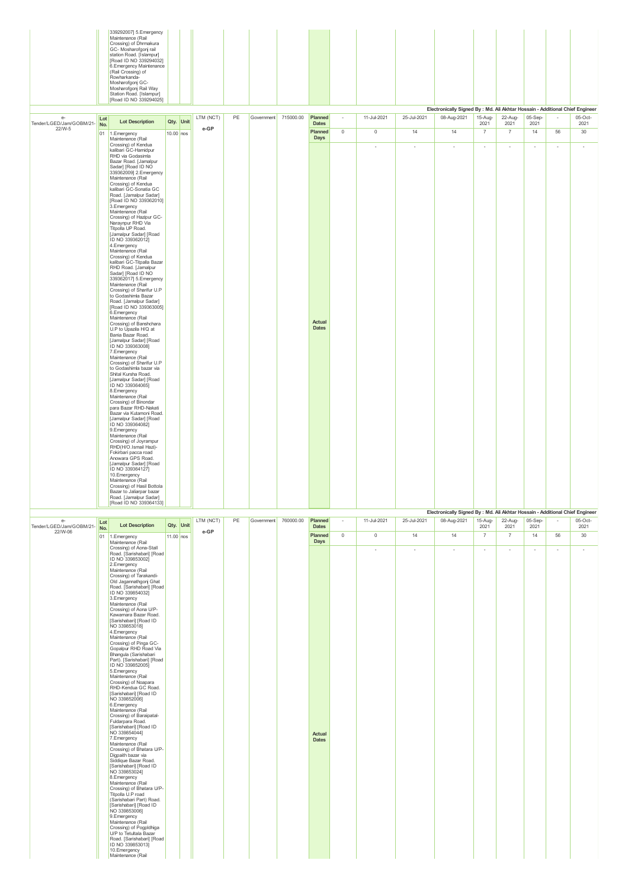|                                  |                             | 339292007] 5. Emergency<br>Maintenance (Rail<br>Crossing) of Dhrmakura<br>GC- Mosharofgonj rail<br>station Road. [Islampur]<br>[Road ID NO 339294032]<br>6. Emergency Maintenance<br>(Rail Crossing) of<br>Rowharkanda-<br>Mosharofgonj GC-<br>Mosharofgonj Rail Way<br>Station Road. [Islampur]<br>[Road ID NO 339294025]                                                                                                                                                                                                                                                                                                                                                                                                                                                                                                                                                                                                                                                                                                                                                                                                                                                                                                                                                                                                                                                                                                                                                                                                      |             |           |           |    |                      |           |                                |             |             |                          |                                                                                              |                 |                          |                          |                          |                 |
|----------------------------------|-----------------------------|---------------------------------------------------------------------------------------------------------------------------------------------------------------------------------------------------------------------------------------------------------------------------------------------------------------------------------------------------------------------------------------------------------------------------------------------------------------------------------------------------------------------------------------------------------------------------------------------------------------------------------------------------------------------------------------------------------------------------------------------------------------------------------------------------------------------------------------------------------------------------------------------------------------------------------------------------------------------------------------------------------------------------------------------------------------------------------------------------------------------------------------------------------------------------------------------------------------------------------------------------------------------------------------------------------------------------------------------------------------------------------------------------------------------------------------------------------------------------------------------------------------------------------|-------------|-----------|-----------|----|----------------------|-----------|--------------------------------|-------------|-------------|--------------------------|----------------------------------------------------------------------------------------------|-----------------|--------------------------|--------------------------|--------------------------|-----------------|
| $e-$<br>Tender/LGED/Jam/GOBM/21- | $\ensuremath{\mathsf{Lot}}$ | <b>Lot Description</b>                                                                                                                                                                                                                                                                                                                                                                                                                                                                                                                                                                                                                                                                                                                                                                                                                                                                                                                                                                                                                                                                                                                                                                                                                                                                                                                                                                                                                                                                                                          |             | Qty. Unit | LTM (NCT) | PE | Government 715000.00 |           | Planned<br><b>Dates</b>        | $\sim$      | 11-Jul-2021 | 25-Jul-2021              | Electronically Signed By : Md. Ali Akhtar Hossain - Additional Chief Engineer<br>08-Aug-2021 | 15-Aug-<br>2021 | 22-Aug-<br>2021          | 05-Sep-<br>2021          |                          | 05-Oct-<br>2021 |
| 22/W-5                           | No.                         | 01 1.Emergency                                                                                                                                                                                                                                                                                                                                                                                                                                                                                                                                                                                                                                                                                                                                                                                                                                                                                                                                                                                                                                                                                                                                                                                                                                                                                                                                                                                                                                                                                                                  | $10.00$ nos |           | $e$ -GP   |    |                      |           | Planned                        | $\mathbb O$ | $\mathbb O$ | 14                       | 14                                                                                           | $\overline{7}$  | $\overline{7}$           | 14                       | 56                       | 30 <sup>°</sup> |
|                                  |                             | Maintenance (Rail<br>Crossing) of Kendua<br>kalibari GC-Hamidpur<br>RHD via Godasimla<br>Bazar Road. [Jamalpur<br>Sadar] [Road ID NO<br>339362009] 2.Emergency<br>Maintenance (Rail<br>Crossing) of Kendua<br>kalibari GC-Sonatia GC<br>Road. [Jamalpur Sadar]<br>[Road ID NO 339362010]<br>3. Emergency<br>Maintenance (Rail<br>Crossing) of Hazipur GC-<br>Naraynpur RHD Via<br>Titpolla UP Road.<br>[Jamalpur Sadar] [Road<br>ID NO 339362012]<br>4. Emergency<br>Maintenance (Rail<br>Crossing) of Kendua<br>kalibari GC-Titpalla Bazar<br>RHD Road. [Jamalpur<br>Sadar] [Road ID NO<br>339362017] 5.Emergency<br>Maintenance (Rail<br>Crossing) of Sharifur U.P<br>to Godashimla Bazar<br>Road. [Jamalpur Sadar]<br>[Road ID NO 339363005]<br>6.Emergency<br>Maintenance (Rail<br>Crossing) of Banshchara<br>U.P to Upazila H/Q at<br>Bania Bazar Road.<br>[Jamalpur Sadar] [Road<br>ID NO 339363008]<br>7. Emergency<br>Maintenance (Rail<br>Crossing) of Sharifur U.P<br>to Godashimla bazar via<br>Shital Kursha Road.<br>[Jamalpur Sadar] [Road<br>ID NO 339364065]<br>8. Emergency<br>Maintenance (Rail<br>Crossing) of Binondar<br>para Bazar RHD-Nakati<br>Bazar via Kutamoni Road.<br>[Jamalpur Sadar] [Road<br>ID NO 339364082]<br>9. Emergency<br>Maintenance (Rail<br>Crossing) of Joyrampur<br>RHD(H/O.Ismail Hazi)-<br>Fokirbari pacca road<br>Anowara GPS Road.<br>[Jamalpur Sadar] [Road<br>ID NO 339364127]<br>10.Emergency<br>Maintenance (Rail<br>Crossing) of Hasil Bottola<br>Bazar to Jaliarpar bazar |             |           |           |    |                      |           | Days<br>Actual<br><b>Dates</b> |             | ×,          | $\overline{\phantom{a}}$ | $\overline{\phantom{a}}$                                                                     | $\sim$          | $\overline{\phantom{a}}$ | $\overline{\phantom{a}}$ | $\overline{\phantom{a}}$ | $\sim$          |
|                                  |                             | Road Llamalnur Sadarl<br>[Road ID NO 339364133]                                                                                                                                                                                                                                                                                                                                                                                                                                                                                                                                                                                                                                                                                                                                                                                                                                                                                                                                                                                                                                                                                                                                                                                                                                                                                                                                                                                                                                                                                 |             |           |           |    |                      |           |                                |             |             |                          | Electronically Signed By : Md. Ali Akhtar Hossain - Additional Chief Engineer                |                 |                          |                          |                          |                 |
| e-<br>Tender/LGED/Jam/GOBM/21-   | Lot<br>No.                  | <b>Lot Description</b>                                                                                                                                                                                                                                                                                                                                                                                                                                                                                                                                                                                                                                                                                                                                                                                                                                                                                                                                                                                                                                                                                                                                                                                                                                                                                                                                                                                                                                                                                                          | Qty. Unit   |           | LTM (NCT) | PE | Government           | 760000.00 | Planned<br><b>Dates</b>        | $\sim$      | 11-Jul-2021 | 25-Jul-2021              | 08-Aug-2021                                                                                  | 15-Aug-<br>2021 | 22-Aug-<br>2021          | 05-Sep-<br>2021          |                          | 05-Oct-<br>2021 |
| 22/W-06                          |                             | 01 1.Emergency                                                                                                                                                                                                                                                                                                                                                                                                                                                                                                                                                                                                                                                                                                                                                                                                                                                                                                                                                                                                                                                                                                                                                                                                                                                                                                                                                                                                                                                                                                                  | 11.00 nos   |           | e-GP      |    |                      |           | Planned<br>Days                | $\mathbb O$ | $\mathbb O$ | 14                       | 14                                                                                           | $\overline{7}$  | $\overline{7}$           | 14                       | 56                       | 30 <sup>°</sup> |
|                                  |                             | Maintenance (Rail<br>Crossing) of Aona-Stall<br>Road. [Sarishabari] [Road]<br>ID NO 3398530021<br>2. Emergency<br>Maintenance (Rail<br>Crossing) of Tarakandi-<br>Old Jagannathgonj Ghat<br>Road. [Sarishabari] [Road<br>ID NO 339854032]<br>3. Emergency<br>Maintenance (Rail<br>Crossing) of Aona U/P-<br>Kawamara Bazar Road.<br>[Sarishabari] [Road ID<br>NO 339853018]<br>4. Emergency<br>Maintenance (Rail<br>Crossing) of Pinga GC-<br>Gopalpur RHD Road Via<br>Bhangula (Sarishabari<br>Part). [Sarishabari] [Road<br>ID NO 339852005]<br>5. Emergency<br>Maintenance (Rail<br>Crossing) of Noapara<br>RHD-Kendua GC Road.<br>[Sarishabari] [Road ID<br>NO 339852006]<br>6.Emergency<br>Maintenance (Rail<br>Crossing) of Baraipatal-<br>Fuldarpara Road.<br>[Sarishabari] [Road ID<br>NO 339854044]<br>7. Emergency<br>Maintenance (Rail<br>Crossing) of Bhatara U/P-<br>Digpaith bazar via<br>Siddique Bazar Road.<br>[Sarishabari] [Road ID<br>NO 339853024]<br>8.Emergency<br>Maintenance (Rail<br>Crossing) of Bhatara U/P-<br>Titpolla U.P road<br>(Sarishabari Part) Road.<br>[Sarishabari] [Road ID<br>NO 339853006]<br>9. Emergency<br>Maintenance (Rail                                                                                                                                                                                                                                                                                                                                                       |             |           |           |    |                      |           | Actual<br><b>Dates</b>         |             | ×,          | ×                        | $\overline{\phantom{a}}$                                                                     | ÷               | $\overline{\phantom{a}}$ | $\overline{\phantom{a}}$ | ×,                       | $\sim$          |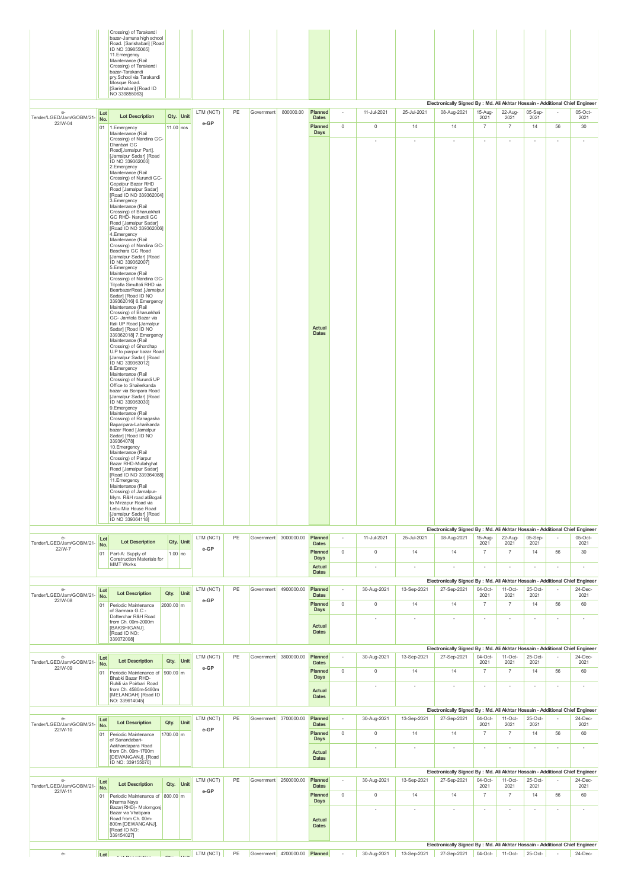|                                             |            | Crossing) of Tarakandi<br>bazar-Jamuna high school<br>Road. [Sarishabari] [Road<br>ID NO 3398550651<br>11. Emergency<br>Maintenance (Rail<br>Crossing) of Tarakandi<br>bazar-Tarakandi<br>pry.School via Tarakandi<br>Mosque Road.<br>[Sarishabari] [Road ID<br>NO 3398550631                                                                                                                                                                                                                                                                                                                                                                                                                                                                                                                                                                                                                                                                                                                                                                                                                                                                                                                                                                                                                                                                                                                                                                                                                                                                                                                  |             |           |                           |    |            |                               |                                           |                          |                          |              | Electronically Signed By : Md. Ali Akhtar Hossain - Additional Chief Engineer                                                    |                          |                          |                          |                          |                                   |
|---------------------------------------------|------------|------------------------------------------------------------------------------------------------------------------------------------------------------------------------------------------------------------------------------------------------------------------------------------------------------------------------------------------------------------------------------------------------------------------------------------------------------------------------------------------------------------------------------------------------------------------------------------------------------------------------------------------------------------------------------------------------------------------------------------------------------------------------------------------------------------------------------------------------------------------------------------------------------------------------------------------------------------------------------------------------------------------------------------------------------------------------------------------------------------------------------------------------------------------------------------------------------------------------------------------------------------------------------------------------------------------------------------------------------------------------------------------------------------------------------------------------------------------------------------------------------------------------------------------------------------------------------------------------|-------------|-----------|---------------------------|----|------------|-------------------------------|-------------------------------------------|--------------------------|--------------------------|--------------|----------------------------------------------------------------------------------------------------------------------------------|--------------------------|--------------------------|--------------------------|--------------------------|-----------------------------------|
| $e-$                                        | Lot        | <b>Lot Description</b>                                                                                                                                                                                                                                                                                                                                                                                                                                                                                                                                                                                                                                                                                                                                                                                                                                                                                                                                                                                                                                                                                                                                                                                                                                                                                                                                                                                                                                                                                                                                                                         |             | Qty. Unit | LTM (NCT)                 | PE | Government | 800000.00                     | Planned<br><b>Dates</b>                   | $\sim$                   | 11-Jul-2021              | 25-Jul-2021  | 08-Aug-2021                                                                                                                      | 15-Aug-<br>2021          | 22-Aug-<br>2021          | 05-Sep-<br>2021          |                          | 05-Oct-                           |
| Tender/LGED/Jam/GOBM/21-<br>22/W-04         | No.        | 01 1.Emergency<br>Maintenance (Rail<br>Crossing) of Nandina GC-<br>Dhanbari GC<br>Road[Jamalpur Part].<br>[Jamalpur Sadar] [Road<br>ID NO 3393620031<br>2. Emergency<br>Maintenance (Rail<br>Crossing) of Nurundi GC-<br>Gopalpur Bazar RHD<br>Road [Jamalpur Sadar]<br>[Road ID NO 339362004]<br>3. Emergency<br>Maintenance (Rail<br>Crossing) of Bharuakhali<br>GC RHD- Narundii GC<br>Road [Jamalpur Sadar]<br>[Road ID NO 339362006]<br>4. Emergency<br>Maintenance (Rail<br>Crossing) of Nandina GC-<br>Baschara GC Road<br>[Jamalpur Sadar] [Road<br>ID NO 339362007]<br>5.Emergency<br>Maintenance (Rail<br>Crossing) of Nandina GC-<br>Titpolla Simultoli RHD via<br>BearbazarRoad.[Jamalpur<br>Sadar] [Road ID NO<br>339362016] 6. Emergency<br>Maintenance (Rail<br>Crossing) of Bharuakhali<br>GC- Jamtola Bazar via<br>Itali UP Road [Jamalpur<br>Sadar] [Road ID NO<br>339362018] 7. Emergency<br>Maintenance (Rail<br>Crossing) of Ghordhap<br>U.P to piarpur bazar Road<br>[Jamalpur Sadar] [Road<br>ID NO 339363012]<br>8. Emergency<br>Maintenance (Rail<br>Crossing) of Nurundi UP<br>Office to Shailerkanda<br>bazar via Bonpara Road<br>[Jamalpur Sadar] [Road<br>ID NO 3393630301<br>9. Emergency<br>Maintenance (Rail<br>Crossing) of Ranagasha<br>Baparipara-Laharikanda<br>bazar Road [Jamalpur<br>Sadar] [Road ID NO<br>339364078]<br>10.Emergency<br>Maintenance (Rail<br>Crossing) of Piarpur<br>Bazar RHD-Mullahghat<br>Road [Jamalpur Sadar]<br>[Road ID NO 339364088]<br>11. Emergency<br>Maintenance (Rail<br>Crossing) of Jamalpur-<br>Mym. R&H road atBogali | $11.00$ nos |           | e-GP                      |    |            |                               | Planned<br>Days<br>Actual<br><b>Dates</b> | $\mathbb O$              | $\mathbb O$<br>$\sim$    | 14<br>$\sim$ | 14<br>$\sim$                                                                                                                     | $\overline{7}$<br>$\sim$ | $\overline{7}$<br>$\sim$ | 14<br>$\sim$             | 56<br>$\sim$             | 2021<br>30 <sup>°</sup><br>$\sim$ |
|                                             |            | to Mirzapur Road via<br>Lebu Mia House Road<br>[Jamalpur Sadar] [Road                                                                                                                                                                                                                                                                                                                                                                                                                                                                                                                                                                                                                                                                                                                                                                                                                                                                                                                                                                                                                                                                                                                                                                                                                                                                                                                                                                                                                                                                                                                          |             |           |                           |    |            |                               |                                           |                          |                          |              |                                                                                                                                  |                          |                          |                          |                          |                                   |
|                                             |            | ID NO 339364118]                                                                                                                                                                                                                                                                                                                                                                                                                                                                                                                                                                                                                                                                                                                                                                                                                                                                                                                                                                                                                                                                                                                                                                                                                                                                                                                                                                                                                                                                                                                                                                               |             |           |                           |    |            |                               |                                           |                          |                          |              | Electronically Signed By : Md. Ali Akhtar Hossain - Additional Chief Engineer                                                    |                          |                          |                          |                          |                                   |
| $e-$<br>Tender/LGED/Jam/GOBM/21-            | Lot<br>No. | <b>Lot Description</b>                                                                                                                                                                                                                                                                                                                                                                                                                                                                                                                                                                                                                                                                                                                                                                                                                                                                                                                                                                                                                                                                                                                                                                                                                                                                                                                                                                                                                                                                                                                                                                         |             | Qty. Unit | LTM (NCT)                 | PE |            | Government 3000000.00         | Planned<br><b>Dates</b>                   | $\overline{\phantom{a}}$ | 11-Jul-2021              | 25-Jul-2021  | 08-Aug-2021                                                                                                                      | 15-Aug-<br>2021          | 22-Aug-<br>2021          | 05-Sep-<br>2021          |                          | 05-Oct-<br>2021                   |
| 22/W-7                                      |            | 01 Part-A: Supply of                                                                                                                                                                                                                                                                                                                                                                                                                                                                                                                                                                                                                                                                                                                                                                                                                                                                                                                                                                                                                                                                                                                                                                                                                                                                                                                                                                                                                                                                                                                                                                           | $1.00$ no   |           | e-GP                      |    |            |                               | Planned                                   | $\mathbb O$              | $\mathbb O$              | 14           | 14                                                                                                                               | $\overline{7}$           | $\overline{\mathcal{I}}$ | 14                       | 56                       | 30                                |
|                                             |            | Construction Materials for<br><b>MMT Works</b>                                                                                                                                                                                                                                                                                                                                                                                                                                                                                                                                                                                                                                                                                                                                                                                                                                                                                                                                                                                                                                                                                                                                                                                                                                                                                                                                                                                                                                                                                                                                                 |             |           |                           |    |            |                               | Days<br>Actual                            |                          | $\overline{\phantom{a}}$ | $\sim$       | $\sim$                                                                                                                           | $\sim$                   | $\sim$                   | $\sim$                   | $\sim$                   | $\sim$                            |
|                                             |            |                                                                                                                                                                                                                                                                                                                                                                                                                                                                                                                                                                                                                                                                                                                                                                                                                                                                                                                                                                                                                                                                                                                                                                                                                                                                                                                                                                                                                                                                                                                                                                                                |             |           |                           |    |            |                               | <b>Dates</b>                              |                          |                          |              | Electronically Signed By : Md. Ali Akhtar Hossain - Additional Chief Engineer                                                    |                          |                          |                          |                          |                                   |
| $e-$<br>Tender/LGED/Jam/GOBM/21-            | Lot<br>No. | <b>Lot Description</b>                                                                                                                                                                                                                                                                                                                                                                                                                                                                                                                                                                                                                                                                                                                                                                                                                                                                                                                                                                                                                                                                                                                                                                                                                                                                                                                                                                                                                                                                                                                                                                         | Qty.        | Unit      | LTM (NCT)                 | PE |            | Government 4900000.00         | Planned<br><b>Dates</b>                   | $\sim$                   | 30-Aug-2021              | 13-Sep-2021  | 27-Sep-2021                                                                                                                      | 04-Oct-<br>2021          | $11-Oct-$<br>2021        | 25-Oct-<br>2021          |                          | 24-Dec-<br>2021                   |
| 22/W-08                                     | 01         | Periodic Maintenance<br>of Sarmara G.C -                                                                                                                                                                                                                                                                                                                                                                                                                                                                                                                                                                                                                                                                                                                                                                                                                                                                                                                                                                                                                                                                                                                                                                                                                                                                                                                                                                                                                                                                                                                                                       | 2000.00 m   |           | $\operatorname{\sf e-GP}$ |    |            |                               | Planned<br>Days                           | $\mathbf 0$              | $\mathbb O$              | 14           | 14                                                                                                                               | $\overline{7}$           | $\overline{7}$           | 14                       | 56                       | 60                                |
|                                             |            | Dotterchar R&H Road<br>from Ch. 00m-2000m<br>[BAKSHIGANJ].<br>[Road ID NO:<br>339072008]                                                                                                                                                                                                                                                                                                                                                                                                                                                                                                                                                                                                                                                                                                                                                                                                                                                                                                                                                                                                                                                                                                                                                                                                                                                                                                                                                                                                                                                                                                       |             |           |                           |    |            |                               | Actual<br><b>Dates</b>                    |                          | $\overline{\phantom{a}}$ | i,           |                                                                                                                                  | $\overline{\phantom{a}}$ | $\overline{\phantom{a}}$ | $\overline{\phantom{a}}$ | $\overline{\phantom{a}}$ | ×                                 |
| $e-$                                        |            |                                                                                                                                                                                                                                                                                                                                                                                                                                                                                                                                                                                                                                                                                                                                                                                                                                                                                                                                                                                                                                                                                                                                                                                                                                                                                                                                                                                                                                                                                                                                                                                                |             |           | LTM (NCT)                 | PE |            | Government 3800000.00         | Planned                                   | $\sim$                   | 30-Aug-2021              | 13-Sep-2021  | Electronically Signed By : Md. Ali Akhtar Hossain - Additional Chief Engineer<br>27-Sep-2021                                     | $04$ -Oct-               | $11-Oct-$                | 25-Oct-                  |                          | 24-Dec-                           |
| Tender/LGED/Jam/GOBM/21-<br>22/W-09         | Lot<br>No. | <b>Lot Description</b>                                                                                                                                                                                                                                                                                                                                                                                                                                                                                                                                                                                                                                                                                                                                                                                                                                                                                                                                                                                                                                                                                                                                                                                                                                                                                                                                                                                                                                                                                                                                                                         | Qty. Unit   |           | e-GP                      |    |            |                               | <b>Dates</b>                              |                          |                          |              |                                                                                                                                  | 2021                     | 2021                     | 2021                     |                          | 2021                              |
|                                             | 01         | Periodic Maintenance of 900.00 m<br>Bhabki Bazar RHD-<br>Ruhili via Poirbari Road                                                                                                                                                                                                                                                                                                                                                                                                                                                                                                                                                                                                                                                                                                                                                                                                                                                                                                                                                                                                                                                                                                                                                                                                                                                                                                                                                                                                                                                                                                              |             |           |                           |    |            |                               | Planned<br>Days                           | $\mathbf 0$              | $\mathbb O$              | 14           | 14                                                                                                                               | $\overline{7}$           | $\overline{7}$           | 14                       | 56                       | 60                                |
|                                             |            | from Ch. 4580m-5480m<br>[MELANDAH] [Road ID                                                                                                                                                                                                                                                                                                                                                                                                                                                                                                                                                                                                                                                                                                                                                                                                                                                                                                                                                                                                                                                                                                                                                                                                                                                                                                                                                                                                                                                                                                                                                    |             |           |                           |    |            |                               | Actual<br><b>Dates</b>                    |                          | $\sim$                   | $\sim$       | $\sim$                                                                                                                           | ٠                        | $\sim$                   | $\sim$                   | $\sim$                   | $\sim$                            |
|                                             |            | NO: 339614045]                                                                                                                                                                                                                                                                                                                                                                                                                                                                                                                                                                                                                                                                                                                                                                                                                                                                                                                                                                                                                                                                                                                                                                                                                                                                                                                                                                                                                                                                                                                                                                                 |             |           |                           |    |            |                               |                                           |                          |                          |              | Electronically Signed By : Md. Ali Akhtar Hossain - Additional Chief Engineer                                                    |                          |                          |                          |                          |                                   |
| $e-$<br>Tender/LGED/Jam/GOBM/21-            | Lot        | <b>Lot Description</b>                                                                                                                                                                                                                                                                                                                                                                                                                                                                                                                                                                                                                                                                                                                                                                                                                                                                                                                                                                                                                                                                                                                                                                                                                                                                                                                                                                                                                                                                                                                                                                         | Qty.        | Unit      | LTM (NCT)                 | PE | Government | 3700000.00                    | Planned                                   | $\sim$                   | 30-Aug-2021              | 13-Sep-2021  | 27-Sep-2021                                                                                                                      | $04-Oct$<br>2021         | $11-Oct-$<br>2021        | 25-Oct-<br>2021          |                          | 24-Dec-<br>2021                   |
| 22/W-10                                     | No.<br>01  | Periodic Maintenance                                                                                                                                                                                                                                                                                                                                                                                                                                                                                                                                                                                                                                                                                                                                                                                                                                                                                                                                                                                                                                                                                                                                                                                                                                                                                                                                                                                                                                                                                                                                                                           | 1700.00 m   |           | e-GP                      |    |            |                               | <b>Dates</b><br>Planned                   | $\mathbf 0$              | $\mathbf 0$              | 14           | 14                                                                                                                               | $\overline{7}$           | $\overline{7}$           | 14                       | 56                       | 60                                |
|                                             |            | of Sanandabari-<br>Aakhandapara Road<br>from Ch. 00m-1700m<br>[DEWANGANJ]. [Road<br>ID NO: 339155070]                                                                                                                                                                                                                                                                                                                                                                                                                                                                                                                                                                                                                                                                                                                                                                                                                                                                                                                                                                                                                                                                                                                                                                                                                                                                                                                                                                                                                                                                                          |             |           |                           |    |            |                               | Days<br>Actual<br><b>Dates</b>            |                          | $\sim$                   | $\sim$       | $\sim$                                                                                                                           | ٠                        | $\sim$                   | $\sim$                   | $\sim$                   | $\sim$                            |
|                                             |            |                                                                                                                                                                                                                                                                                                                                                                                                                                                                                                                                                                                                                                                                                                                                                                                                                                                                                                                                                                                                                                                                                                                                                                                                                                                                                                                                                                                                                                                                                                                                                                                                |             |           |                           |    |            |                               |                                           |                          |                          |              | Electronically Signed By : Md. Ali Akhtar Hossain - Additional Chief Engineer                                                    |                          |                          |                          |                          |                                   |
| $e-$<br>Tender/LGED/Jam/GOBM/21-<br>22/W-11 | Lot<br>No. | <b>Lot Description</b>                                                                                                                                                                                                                                                                                                                                                                                                                                                                                                                                                                                                                                                                                                                                                                                                                                                                                                                                                                                                                                                                                                                                                                                                                                                                                                                                                                                                                                                                                                                                                                         | Qty. Unit   |           | LTM (NCT)<br>e-GP         | PE |            | Government 2500000.00         | Planned<br><b>Dates</b>                   | $\sim$                   | 30-Aug-2021              | 13-Sep-2021  | 27-Sep-2021                                                                                                                      | $04-Oct-$<br>2021        | $11-Oct-$<br>2021        | 25-Oct-<br>2021          |                          | 24-Dec-<br>2021                   |
|                                             |            | 01 Periodic Maintenance of 800.00 m<br>Kharma Naya                                                                                                                                                                                                                                                                                                                                                                                                                                                                                                                                                                                                                                                                                                                                                                                                                                                                                                                                                                                                                                                                                                                                                                                                                                                                                                                                                                                                                                                                                                                                             |             |           |                           |    |            |                               | Planned<br>Days                           | $\mathbf 0$              | $\mathbb O$              | 14           | 14                                                                                                                               | $\overline{7}$           | $\overline{7}$           | 14                       | 56                       | 60                                |
|                                             |            | Bazar(RHD)- Molomgonj<br>Bazar via Vhatipara<br>Road from Ch. 00m-<br>800m [DEWANGANJ].<br>[Road ID NO:<br>339154027]                                                                                                                                                                                                                                                                                                                                                                                                                                                                                                                                                                                                                                                                                                                                                                                                                                                                                                                                                                                                                                                                                                                                                                                                                                                                                                                                                                                                                                                                          |             |           |                           |    |            |                               | Actual<br><b>Dates</b>                    |                          | $\sim$                   | ×            | $\sim$                                                                                                                           | ٠                        | $\sim$                   | $\sim$                   | $\sim$                   | $\sim$                            |
| $\mathsf{e}\text{-}$                        | Lot        | $\frac{1}{2}$ $\frac{1}{2}$ $\frac{1}{2}$ $\frac{1}{2}$ $\frac{1}{2}$ $\frac{1}{2}$ $\frac{1}{2}$ $\frac{1}{2}$ $\frac{1}{2}$ $\frac{1}{2}$ $\frac{1}{2}$ $\frac{1}{2}$ $\frac{1}{2}$ $\frac{1}{2}$ $\frac{1}{2}$ $\frac{1}{2}$ $\frac{1}{2}$ $\frac{1}{2}$ $\frac{1}{2}$ $\frac{1}{2}$ $\frac{1}{2}$ $\frac{1}{2}$                                                                                                                                                                                                                                                                                                                                                                                                                                                                                                                                                                                                                                                                                                                                                                                                                                                                                                                                                                                                                                                                                                                                                                                                                                                                            |             |           |                           | PE |            | Government 4200000.00 Planned |                                           | $\sim$                   | 30-Aug-2021              |              | Electronically Signed By : Md. Ali Akhtar Hossain - Additional Chief Engineer<br>13-Sep-2021 27-Sep-2021 04-Oct- 11-Oct- 25-Oct- |                          |                          |                          | $\sim 10^{-1}$           | 24-Dec-                           |
|                                             |            |                                                                                                                                                                                                                                                                                                                                                                                                                                                                                                                                                                                                                                                                                                                                                                                                                                                                                                                                                                                                                                                                                                                                                                                                                                                                                                                                                                                                                                                                                                                                                                                                |             |           |                           |    |            |                               |                                           |                          |                          |              |                                                                                                                                  |                          |                          |                          |                          |                                   |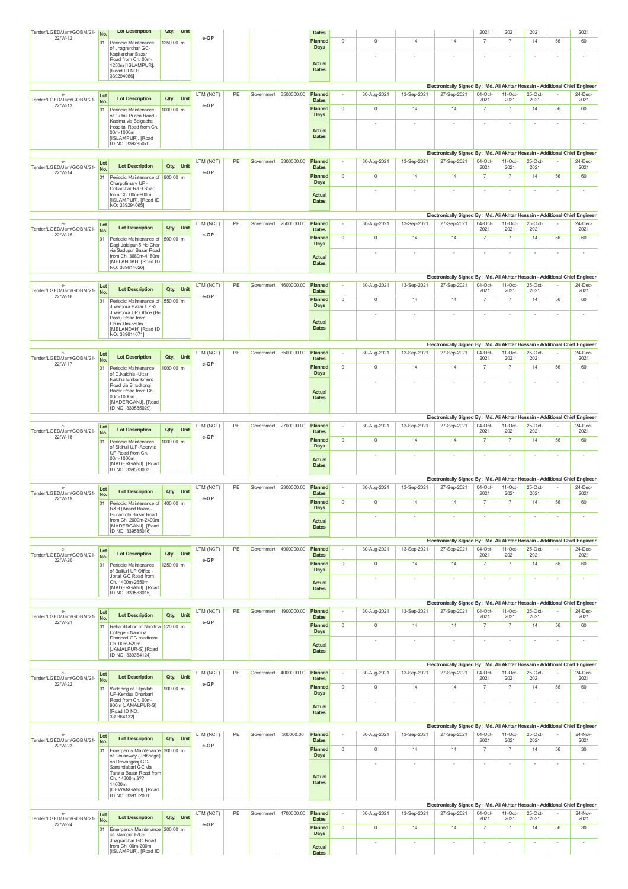| Tender/LGED/Jam/GOBM/21-            | No.        | <b>Lot Description</b>                                       | Qty.       | Unit |           |    |            |                       | <b>Dates</b>            |             |                          |                          |                                                                                              | 2021                     | 2021                     | 2021                     |                          | 2021                     |
|-------------------------------------|------------|--------------------------------------------------------------|------------|------|-----------|----|------------|-----------------------|-------------------------|-------------|--------------------------|--------------------------|----------------------------------------------------------------------------------------------|--------------------------|--------------------------|--------------------------|--------------------------|--------------------------|
| 22/W-12                             | 01         | Periodic Maintenance                                         | 1250.00 m  |      | e-GP      |    |            |                       | Planned<br>Days         | $\mathbb O$ | $\mathbb O$              | 14                       | 14                                                                                           | $\overline{7}$           | $\overline{7}$           | 14                       | 56                       | 60                       |
|                                     |            | of Jhagrerchar GC-<br>Napiterchar Bazar                      |            |      |           |    |            |                       |                         |             |                          |                          |                                                                                              |                          |                          | $\sim$                   | $\sim$                   | $\sim$                   |
|                                     |            | Road from Ch. 00m-<br>1250m [ISLAMPUR].<br>[Road ID NO:      |            |      |           |    |            |                       | Actual<br><b>Dates</b>  |             |                          |                          |                                                                                              |                          |                          |                          |                          |                          |
|                                     |            | 339294066]                                                   |            |      |           |    |            |                       |                         |             |                          |                          |                                                                                              |                          |                          |                          |                          |                          |
|                                     |            |                                                              |            |      |           |    |            |                       |                         |             |                          |                          | Electronically Signed By : Md. Ali Akhtar Hossain - Additional Chief Engineer                |                          |                          |                          |                          |                          |
| e<br>Tender/LGED/Jam/GOBM/21-       | Lot<br>No. | <b>Lot Description</b>                                       | Qty.       | Unit | LTM (NCT) | PE | Government | 3500000.00            | Planned<br><b>Dates</b> |             | 30-Aug-2021              | 13-Sep-2021              | 27-Sep-2021                                                                                  | $04-Oct$<br>2021         | $11-Oct$<br>2021         | 25-Oct-<br>2021          |                          | 24-Dec-<br>2021          |
| 22/W-13                             | 01         | Periodic Maintenance                                         | 1000.00 m  |      | e-GP      |    |            |                       | Planned                 | $\mathbf 0$ | $\mathbb O$              | 14                       | 14                                                                                           | $\overline{7}$           | $\overline{7}$           | 14                       | 56                       | 60                       |
|                                     |            | of Gutail Pucca Road -<br>Kacima via Belgacha                |            |      |           |    |            |                       | <b>Days</b>             |             |                          |                          |                                                                                              |                          |                          | $\sim$                   | $\sim$                   | ×                        |
|                                     |            | Hospital Road from Ch.<br>00m-1000m                          |            |      |           |    |            |                       | Actual                  |             |                          |                          |                                                                                              |                          |                          |                          |                          |                          |
|                                     |            | [ISLAMPUR]. [Road<br>ID NO: 339295070]                       |            |      |           |    |            |                       | <b>Dates</b>            |             |                          |                          |                                                                                              |                          |                          |                          |                          |                          |
|                                     |            |                                                              |            |      |           |    |            |                       |                         |             |                          |                          | Electronically Signed By : Md. Ali Akhtar Hossain - Additional Chief Engineer                |                          |                          |                          |                          |                          |
| $e-$<br>Tender/LGED/Jam/GOBM/21-    | Lot        | <b>Lot Description</b>                                       | Qty.       | Unit | LTM (NCT) | PE | Government | 3300000.00            | Planned<br><b>Dates</b> |             | 30-Aug-2021              | 13-Sep-2021              | 27-Sep-2021                                                                                  | 04-Oct-<br>2021          | $11-Oct-$<br>2021        | 25-Oct-<br>2021          |                          | 24-Dec-<br>2021          |
| 22/W-14                             | No.<br>01  | Periodic Maintenance of                                      | 900.00 m   |      | e-GP      |    |            |                       | Planned                 | $\mathbb O$ | $\mathbb O$              | 14                       | 14                                                                                           | $\overline{7}$           | $\overline{7}$           | 14                       | 56                       | 60                       |
|                                     |            | Charputimary UP -<br>Dobarchar R&H Road                      |            |      |           |    |            |                       | Days                    |             |                          |                          |                                                                                              |                          |                          |                          |                          |                          |
|                                     |            | from Ch. 00m-900m<br>[ISLAMPUR]. [Road ID<br>NO: 339294065]  |            |      |           |    |            |                       | Actual<br><b>Dates</b>  |             | ٠                        |                          |                                                                                              |                          |                          | $\overline{\phantom{a}}$ | $\sim$                   | ٠                        |
|                                     |            |                                                              |            |      |           |    |            |                       |                         |             |                          |                          | Electronically Signed By : Md. Ali Akhtar Hossain - Additional Chief Engineer                |                          |                          |                          |                          |                          |
| $e-$<br>Tender/LGED/Jam/GOBM/21-    | Lot        | <b>Lot Description</b>                                       | Qty.       | Unit | LTM (NCT) | PE | Government | 2500000.00            | Planned<br><b>Dates</b> |             | 30-Aug-2021              | 13-Sep-2021              | 27-Sep-2021                                                                                  | 04-Oct-<br>2021          | $11-Oct$<br>2021         | 25-Oct-<br>2021          |                          | 24-Dec-<br>2021          |
| 22/W-15                             | No.<br>01  | Periodic Maintenance of                                      | 500.00 m   |      | e-GP      |    |            |                       | Planned                 | $\mathbb O$ | $\mathbb O$              | 14                       | 14                                                                                           | $\overline{7}$           | $\overline{7}$           | 14                       | 56                       | 60                       |
|                                     |            | Dagi Jalalpur-5 No Char<br>via Sadupur Bazar Road            |            |      |           |    |            |                       | <b>Days</b>             |             |                          |                          |                                                                                              |                          |                          |                          |                          |                          |
|                                     |            | from Ch. 3680m-4180m<br>[MELANDAH] [Road ID                  |            |      |           |    |            |                       | Actual                  |             |                          |                          |                                                                                              |                          |                          | $\sim$                   | $\sim$                   | ٠                        |
|                                     |            | NO: 339614026]                                               |            |      |           |    |            |                       | <b>Dates</b>            |             |                          |                          |                                                                                              |                          |                          |                          |                          |                          |
|                                     |            |                                                              |            |      |           |    |            |                       |                         |             |                          |                          | Electronically Signed By : Md. Ali Akhtar Hossain - Additional Chief Engineer                |                          |                          |                          |                          |                          |
| $e-$<br>Tender/LGED/Jam/GOBM/21-    | Lot<br>No. | <b>Lot Description</b>                                       | Qty.       | Unit | LTM (NCT) | PE | Government | 4600000.00            | Planned<br><b>Dates</b> |             | 30-Aug-2021              | 13-Sep-2021              | 27-Sep-2021                                                                                  | 04-Oct-<br>2021          | $11-Oct$<br>2021         | 25-Oct-<br>2021          |                          | 24-Dec-<br>2021          |
| 22/W-16                             | 01         | Periodic Maintenance of                                      | 550.00 m   |      | e-GP      |    |            |                       | Planned                 | $\mathbb O$ | $\mathbb O$              | 14                       | 14                                                                                           | $\overline{7}$           | $\overline{7}$           | 14                       | 56                       | 60                       |
|                                     |            | Jhawgora Bazar UZR-<br>Jhawgora UP Office (Bi-               |            |      |           |    |            |                       | <b>Days</b>             |             |                          |                          |                                                                                              | ٠                        |                          | $\sim$                   | $\sim$                   | ٠                        |
|                                     |            | Pass) Road from<br>Ch.m00m-550m                              |            |      |           |    |            |                       | Actual                  |             |                          |                          |                                                                                              |                          |                          |                          |                          |                          |
|                                     |            | [MELANDAH] [Road ID<br>NO: 339614071]                        |            |      |           |    |            |                       | <b>Dates</b>            |             |                          |                          |                                                                                              |                          |                          |                          |                          |                          |
|                                     |            |                                                              |            |      |           |    |            |                       |                         |             |                          |                          | Electronically Signed By : Md. Ali Akhtar Hossain - Additional Chief Engineer                |                          |                          |                          |                          |                          |
| $e-$<br>Tender/LGED/Jam/GOBM/21-    | Lot        | <b>Lot Description</b>                                       | Qty.       | Unit | LTM (NCT) | PE | Government | 3500000.00            | Planned                 |             | 30-Aug-2021              | 13-Sep-2021              | 27-Sep-2021                                                                                  | $04-Oct-$                | $11-Oct-$<br>2021        | $25$ -Oct-<br>2021       |                          | 24-Dec-                  |
| 22/W-17                             | No.        |                                                              |            |      | e-GP      |    |            |                       | <b>Dates</b><br>Planned | $\mathbb O$ | $\mathbb O$              | 14                       | 14                                                                                           | 2021<br>$\overline{7}$   | $\overline{7}$           | 14                       | 56                       | 2021<br>60               |
|                                     | 01         | Periodic Maintenance<br>of D.Nalchia - Uttar                 | 1000.00 m  |      |           |    |            |                       | Days                    |             |                          |                          |                                                                                              |                          |                          |                          |                          |                          |
|                                     |            | Nalchia Embankment<br>Road via Binodtongi                    |            |      |           |    |            |                       |                         |             |                          |                          |                                                                                              |                          |                          |                          |                          |                          |
|                                     |            | Bazar Road from Ch.<br>00m-1000m                             |            |      |           |    |            |                       | Actual<br><b>Dates</b>  |             |                          |                          |                                                                                              |                          |                          |                          |                          |                          |
|                                     |            | [MADERGANJ]. [Road<br>ID NO: 339585029]                      |            |      |           |    |            |                       |                         |             |                          |                          |                                                                                              |                          |                          |                          |                          |                          |
|                                     |            |                                                              |            |      |           |    |            |                       |                         |             |                          |                          | Electronically Signed By : Md. Ali Akhtar Hossain - Additional Chief Engineer                |                          |                          |                          |                          |                          |
| e-<br>Tender/LGED/Jam/GOBM/21-      | Lot        | <b>Lot Description</b>                                       | Qty.       | Unit | LTM (NCT) | PE | Government | 2700000.00            | Planned<br><b>Dates</b> |             | 30-Aug-2021              | 13-Sep-2021              | 27-Sep-2021                                                                                  | 04-Oct-<br>2021          | $11-Oct-$<br>2021        | 25-Oct-<br>2021          |                          | 24-Dec-<br>2021          |
| 22/W-18                             | No.<br>01  | Periodic Maintenance                                         | 1000.00 m  |      | e-GP      |    |            |                       | Planned                 | $\mathbb O$ | $\mathbb O$              | 14                       | 14                                                                                           | $\overline{7}$           | $\overline{7}$           | 14                       | 56                       | 60                       |
|                                     |            | of Sidhuli U.P-Adervita<br>UP Road from Ch.                  |            |      |           |    |            |                       | Days                    |             |                          |                          |                                                                                              |                          |                          |                          |                          |                          |
|                                     |            | 00m-1000m                                                    |            |      |           |    |            |                       | Actual                  |             |                          |                          |                                                                                              | $\overline{\phantom{a}}$ | $\overline{\phantom{a}}$ | $\overline{\phantom{a}}$ | $\overline{\phantom{a}}$ | $\overline{\phantom{a}}$ |
|                                     |            |                                                              |            |      |           |    |            |                       |                         |             |                          |                          |                                                                                              |                          |                          |                          |                          |                          |
|                                     |            | [MADERGANJ]. [Road<br>ID NO: 339583003]                      |            |      |           |    |            |                       | <b>Dates</b>            |             |                          |                          |                                                                                              |                          |                          |                          |                          |                          |
|                                     |            |                                                              |            |      |           |    |            |                       |                         |             |                          |                          | Electronically Signed By : Md. Ali Akhtar Hossain - Additional Chief Engineer                |                          |                          |                          |                          |                          |
| e-<br>Tender/LGED/Jam/GOBM/21-      | Lot        | <b>Lot Description</b>                                       | Qty.       | Unit | LTM (NCT) | PE | Government | 2300000.00            | Planned<br><b>Dates</b> |             | 30-Aug-2021              | 13-Sep-2021              | 27-Sep-2021                                                                                  | 04-Oct-<br>2021          | $11-Oct-$<br>2021        | 25-Oct-<br>2021          |                          | 24-Dec-<br>2021          |
| 22/W-19                             | No.<br>01  | Periodic Maintenance of 400.00 m                             |            |      | e-GP      |    |            |                       | Planned                 |             |                          |                          |                                                                                              |                          |                          |                          | 56                       | 60                       |
|                                     |            | R&H (Anand Bazar)-<br>Gunaritola Bazar Road                  |            |      |           |    |            |                       | Days                    |             |                          |                          |                                                                                              |                          |                          |                          |                          |                          |
|                                     |            | from Ch. 2000m-2400m<br>[MADERGANJ]. [Road                   |            |      |           |    |            |                       | Actual                  |             | ٠                        |                          | $\overline{\phantom{a}}$                                                                     | $\overline{\phantom{a}}$ | ٠                        | $\overline{\phantom{a}}$ | $\overline{\phantom{a}}$ | $\overline{\phantom{a}}$ |
|                                     |            | ID NO: 339585016]                                            |            |      |           |    |            |                       | <b>Dates</b>            |             |                          |                          |                                                                                              |                          |                          |                          |                          |                          |
|                                     |            |                                                              |            |      |           |    |            |                       |                         |             |                          |                          | Electronically Signed By : Md. Ali Akhtar Hossain - Additional Chief Engineer                |                          |                          |                          |                          |                          |
| $e-$<br>Tender/LGED/Jam/GOBM/21-    | Lot<br>No. | <b>Lot Description</b>                                       | Qty.       | Unit | LTM (NCT) | PE | Government | 4900000.00            | Planned<br><b>Dates</b> |             | 30-Aug-2021              | 13-Sep-2021              | 27-Sep-2021                                                                                  | 04-Oct-<br>2021          | $11-Oct-$<br>2021        | 25-Oct-<br>2021          |                          | 24-Dec-<br>2021          |
| 22/W-20                             | 01         | Periodic Maintenance                                         | 1250.00 m  |      | e-GP      |    |            |                       | Planned                 | $\mathbb O$ | $\mathbb O$              | 14                       | 14                                                                                           | $\overline{7}$           | $\overline{7}$           | 14                       | 56                       | 60                       |
|                                     |            | of Balijuri UP Office -<br>Jonail GC Road from               |            |      |           |    |            |                       | Days                    |             |                          |                          |                                                                                              |                          |                          |                          |                          |                          |
|                                     |            | Ch. 1400m-2650m<br>[MADERGANJ]. [Road                        |            |      |           |    |            |                       | Actual<br><b>Dates</b>  |             |                          |                          |                                                                                              |                          |                          |                          |                          |                          |
|                                     |            | ID NO: 339583015]                                            |            |      |           |    |            |                       |                         |             |                          |                          |                                                                                              |                          |                          |                          |                          |                          |
| e-                                  |            |                                                              |            |      | LTM (NCT) | PE | Government | 1900000.00            | Planned                 |             | 30-Aug-2021              | 13-Sep-2021              | Electronically Signed By : Md. Ali Akhtar Hossain - Additional Chief Engineer<br>27-Sep-2021 | $04-Oct$                 | $11-Oct-$                | 25-Oct-                  |                          | 24-Dec-                  |
| Tender/LGED/Jam/GOBM/21-            | Lot<br>No. | <b>Lot Description</b>                                       | Qty.       | Unit |           |    |            |                       | <b>Dates</b>            |             |                          |                          |                                                                                              | 2021                     | 2021                     | 2021                     |                          | 2021                     |
| 22/W-21                             | 01         | Rehabilitation of Nandina 520.00 m<br>College - Nandina      |            |      | e-GP      |    |            |                       | Planned<br>Days         | $\mathbb O$ | $\mathbb O$              | 14                       | 14                                                                                           | $\overline{7}$           | $\overline{7}$           | 14                       | 56                       | 60                       |
|                                     |            | Dhanbari GC roadfrom<br>Ch. 00m-520m                         |            |      |           |    |            |                       |                         |             | ٠                        | ٠                        | $\overline{\phantom{a}}$                                                                     | $\sim$                   | ٠                        | $\sim$                   | $\sim$                   | ٠                        |
|                                     |            | [JAMALPUR-S] [Road                                           |            |      |           |    |            |                       | Actual<br><b>Dates</b>  |             |                          |                          |                                                                                              |                          |                          |                          |                          |                          |
|                                     |            | ID NO: 339364124]                                            |            |      |           |    |            |                       |                         |             |                          |                          | Electronically Signed By : Md. Ali Akhtar Hossain - Additional Chief Engineer                |                          |                          |                          |                          |                          |
| $e-$                                | Lot        |                                                              |            |      | LTM (NCT) | PE | Government | 4000000.00            | Planned                 |             | 30-Aug-2021              | 13-Sep-2021              | 27-Sep-2021                                                                                  | 04-Oct-                  | $11-Oct-$                | 25-Oct-                  |                          | 24-Dec-                  |
| Tender/LGED/Jam/GOBM/21-<br>22/W-22 | No.        | <b>Lot Description</b>                                       | Qty.       | Unit | e-GP      |    |            |                       | <b>Dates</b>            |             |                          |                          |                                                                                              | 2021                     | 2021                     | 2021                     |                          | 2021                     |
|                                     | 01         | Widening of Titpollah<br>UP-Kendua Dharbari                  | $900.00$ m |      |           |    |            |                       | Planned<br>Days         | $\mathbb O$ | $\mathbb O$              | 14                       | 14                                                                                           | $\overline{7}$           | $\overline{7}$           | 14                       | 56                       | 60                       |
|                                     |            | Road from Ch. 00m-<br>900m [JAMALPUR-S]                      |            |      |           |    |            |                       | Actual                  |             | $\overline{\phantom{a}}$ | $\overline{\phantom{a}}$ |                                                                                              | $\sim$                   | $\overline{\phantom{a}}$ | $\overline{\phantom{a}}$ | $\sim$                   | ٠                        |
|                                     |            | [Road ID NO:<br>339364132]                                   |            |      |           |    |            |                       | <b>Dates</b>            |             |                          |                          |                                                                                              |                          |                          |                          |                          |                          |
|                                     |            |                                                              |            |      |           |    |            |                       |                         |             |                          |                          | Electronically Signed By : Md. Ali Akhtar Hossain - Additional Chief Engineer                |                          |                          |                          |                          |                          |
| $e-$                                | Lot        |                                                              |            |      | LTM (NCT) | PE | Government | 300000.00             | Planned                 |             | 30-Aug-2021              | 13-Sep-2021              | 27-Sep-2021                                                                                  | 04-Oct-                  | $11-Oct-$                | 25-Oct-                  |                          | 24-Nov-                  |
| Tender/LGED/Jam/GOBM/21-<br>22/W-23 | No.        | <b>Lot Description</b>                                       | Qty.       | Unit | e-GP      |    |            |                       | <b>Dates</b><br>Planned | $\mathbb O$ | $\mathbb O$              | 14                       | 14                                                                                           | 2021<br>$\overline{7}$   | 2021<br>$\overline{7}$   | 2021<br>14               | 56                       | 2021<br>30               |
|                                     | 01         | Emergency Maintenance 300.00 m<br>of Couseway (Jolbridge)    |            |      |           |    |            |                       | Days                    |             |                          |                          |                                                                                              |                          |                          |                          |                          |                          |
|                                     |            | on Dewanganj GC-<br>Sanandabari GC via                       |            |      |           |    |            |                       |                         |             | ä,                       | ٠                        |                                                                                              | ٠                        |                          | $\sim$                   |                          | $\sim$                   |
|                                     |            | Taratia Bazar Road from<br>Ch. 14300m â??                    |            |      |           |    |            |                       | Actual                  |             |                          |                          |                                                                                              |                          |                          |                          |                          |                          |
|                                     |            | 14600m<br>[DEWANGANJ]. [Road                                 |            |      |           |    |            |                       | <b>Dates</b>            |             |                          |                          |                                                                                              |                          |                          |                          |                          |                          |
|                                     |            | ID NO: 339152001]                                            |            |      |           |    |            |                       |                         |             |                          |                          |                                                                                              |                          |                          |                          |                          |                          |
| $e-$                                |            |                                                              |            |      |           | PE |            | Government 4700000.00 | Planned                 | $\sim$      |                          |                          | Electronically Signed By : Md. Ali Akhtar Hossain - Additional Chief Engineer                | 04-Oct-                  | $11-Oct-$                | 25-Oct-                  |                          | 24-Nov-                  |
| Tender/LGED/Jam/GOBM/21-            | Lot<br>No. | <b>Lot Description</b>                                       | Qty.       | Unit | LTM (NCT) |    |            |                       | <b>Dates</b>            |             | 30-Aug-2021              | 13-Sep-2021              | 27-Sep-2021                                                                                  | 2021                     | 2021                     | 2021                     |                          | 2021                     |
| 22/W-24                             | 01         | Emergency Maintenance 200.00 m                               |            |      | e-GP      |    |            |                       | Planned                 | $\mathbb O$ | $\mathbb O$              | 14                       | 14                                                                                           | $\overline{7}$           | $\overline{7}$           | 14                       | 56                       | 30                       |
|                                     |            | of Islampur H/Q-<br>Jhagrarchar GC Road<br>from Ch. 00m-200m |            |      |           |    |            |                       | Days<br>Actual          |             | ٠                        | $\overline{\phantom{a}}$ |                                                                                              | ٠                        | $\sim$                   | $\sim$                   | $\sim$                   | $\overline{\phantom{a}}$ |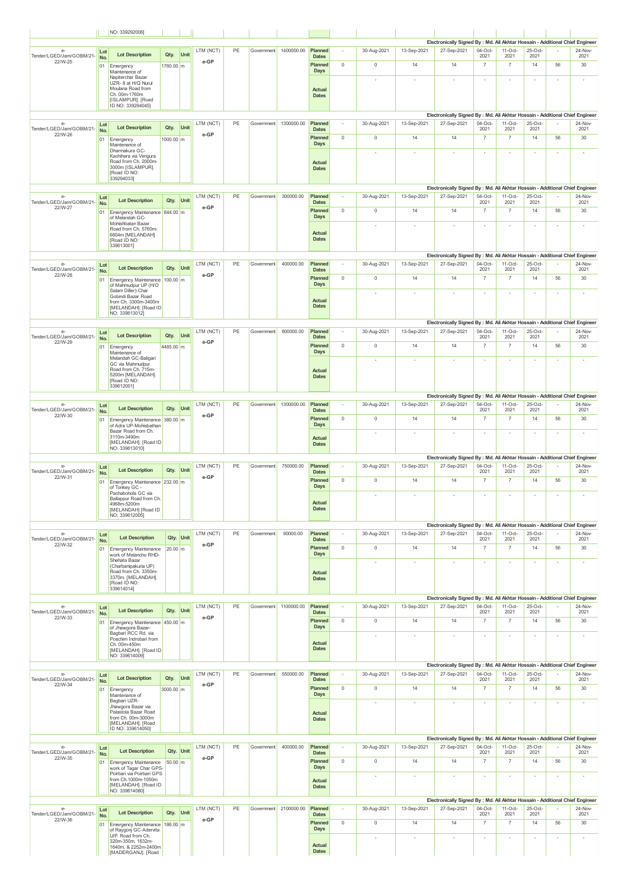|                                             |            | NO: 3392920081                                                                                                     |           |           |                   |    |            |                       |                               |                          |             |                          |                                                                                              |                        |                        |                          |                          |                          |
|---------------------------------------------|------------|--------------------------------------------------------------------------------------------------------------------|-----------|-----------|-------------------|----|------------|-----------------------|-------------------------------|--------------------------|-------------|--------------------------|----------------------------------------------------------------------------------------------|------------------------|------------------------|--------------------------|--------------------------|--------------------------|
| e-                                          |            |                                                                                                                    |           |           | LTM (NCT)         | PE |            | Government 1400000.00 | Planned                       | $\overline{\phantom{a}}$ | 30-Aug-2021 | 13-Sep-2021              | Electronically Signed By : Md. Ali Akhtar Hossain - Additional Chief Engineer<br>27-Sep-2021 | $04-Oct-$              | $11-Oct-$              | 25-Oct-                  |                          | 24-Nov-                  |
| Tender/LGED/Jam/GOBM/21-<br>22/W-25         | Lot<br>No. | <b>Lot Description</b>                                                                                             | Qty.      | Unit      | e-GP              |    |            |                       | <b>Dates</b><br>Planned       | $\mathbb O$              | $\mathbb O$ | 14                       | 14                                                                                           | 2021<br>$\overline{7}$ | 2021<br>$\overline{7}$ | 2021<br>14               | 56                       | 2021<br>30               |
|                                             | 01         | Emergency<br>Maintenance of<br>Napiterchar Bazar                                                                   | 1760.00 m |           |                   |    |            |                       | Days                          |                          |             |                          |                                                                                              |                        |                        |                          |                          |                          |
|                                             |            | UZR- 8 at H/Q Nurul<br>Moulana Road from                                                                           |           |           |                   |    |            |                       | Actual                        |                          |             |                          |                                                                                              | ×                      |                        | ×,                       |                          | $\overline{\phantom{a}}$ |
|                                             |            | Ch. 00m-1760m<br>[ISLAMPUR]. [Road                                                                                 |           |           |                   |    |            |                       | <b>Dates</b>                  |                          |             |                          |                                                                                              |                        |                        |                          |                          |                          |
|                                             |            | ID NO: 339294045]                                                                                                  |           |           |                   |    |            |                       |                               |                          |             |                          | Electronically Signed By : Md. Ali Akhtar Hossain - Additional Chief Engineer                |                        |                        |                          |                          |                          |
| $e-$                                        | Lot        | <b>Lot Description</b>                                                                                             | Qty.      | Unit      | LTM (NCT)         | PE |            | Government 1300000.00 | Planned                       |                          | 30-Aug-2021 | 13-Sep-2021              | 27-Sep-2021                                                                                  | 04-Oct-                | $11-Oct-$              | 25-Oct-                  |                          | 24-Nov-                  |
| Tender/LGED/Jam/GOBM/21-<br>22/W-26         | No.<br>01  | Emergency                                                                                                          | 1000.00 m |           | e-GP              |    |            |                       | <b>Dates</b><br>Planned       | $\mathbb O$              | $\mathbb O$ | 14                       | 14                                                                                           | 2021<br>$\overline{7}$ | 2021<br>$\overline{7}$ | 2021<br>14               | 56                       | 2021<br>30               |
|                                             |            | Maintenance of<br>Dharmakura GC-                                                                                   |           |           |                   |    |            |                       | Days                          |                          | ٠           |                          | ٠                                                                                            | ٠                      |                        | $\sim$                   | $\sim$                   | ٠                        |
|                                             |            | Kachihara via Vengura<br>Road from Ch. 2000m-<br>3000m [ISLAMPUR].<br>[Road ID NO:<br>339294033]                   |           |           |                   |    |            |                       | <b>Actual</b><br><b>Dates</b> |                          |             |                          |                                                                                              |                        |                        |                          |                          |                          |
| $e-$<br>Tender/LGED/Jam/GOBM/21-            | Lot<br>No. | <b>Lot Description</b>                                                                                             | Qty.      | Unit      | LTM (NCT)         | PE | Government | 300000.00             | Planned<br><b>Dates</b>       |                          | 30-Aug-2021 | 13-Sep-2021              | Electronically Signed By : Md. Ali Akhtar Hossain - Additional Chief Engineer<br>27-Sep-2021 | $04-Oct-$<br>2021      | $11-Oct-$<br>2021      | 25-Oct-<br>2021          |                          | 24-Nov-<br>2021          |
| 22/W-27                                     | 01         | Emergency Maintenance 844.00 m<br>of Melandah GC-                                                                  |           |           | e-GP              |    |            |                       | Planned<br>Days               | $\mathbb O$              | $\mathbb O$ | 14                       | 14                                                                                           | $\overline{7}$         | $\overline{7}$         | 14                       | 56                       | 30                       |
|                                             |            | Mohishbatan Bazar<br>Road from Ch. 5760m-<br>6604m [MELANDAH]                                                      |           |           |                   |    |            |                       | <b>Actual</b>                 |                          | ٠           |                          |                                                                                              | $\sim$                 |                        | $\sim$                   | $\sim$                   | $\sim$                   |
|                                             |            | [Road ID NO:<br>339613001]                                                                                         |           |           |                   |    |            |                       | <b>Dates</b>                  |                          |             |                          |                                                                                              |                        |                        |                          |                          |                          |
| e-                                          |            |                                                                                                                    |           |           | LTM (NCT)         | PE | Government | 400000.00             | Planned                       |                          | 30-Aug-2021 | 13-Sep-2021              | Electronically Signed By : Md. Ali Akhtar Hossain - Additional Chief Engineer<br>27-Sep-2021 | 04-Oct-                | $11-Oct-$              | 25-Oct-                  |                          | 24-Nov-                  |
| Tender/LGED/Jam/GOBM/21-<br>22/W-28         | Lot<br>No. | <b>Lot Description</b>                                                                                             | Qty.      | Unit      | e-GP              |    |            |                       | <b>Dates</b>                  |                          |             |                          |                                                                                              | 2021                   | 2021                   | 2021                     |                          | 2021                     |
|                                             | 01         | Emergency Maintenance 100.00 m<br>of Mahmudpur UP (H/O<br>Salam Diller)-Char                                       |           |           |                   |    |            |                       | Planned<br><b>Days</b>        | $\mathbb O$              | $\mathbb O$ | 14                       | 14                                                                                           | $\overline{7}$         | $\overline{7}$         | 14                       | 56                       | 30                       |
|                                             |            | Gobindi Bazar Road<br>from Ch. 3300m-3400m<br>[MELANDAH]. [Road ID<br>NO: 339613012]                               |           |           |                   |    |            |                       | <b>Actual</b><br><b>Dates</b> |                          |             |                          |                                                                                              |                        |                        |                          |                          |                          |
|                                             |            |                                                                                                                    |           |           |                   |    |            |                       |                               |                          |             |                          | Electronically Signed By : Md. Ali Akhtar Hossain - Additional Chief Engineer                |                        |                        |                          |                          |                          |
| e<br>Tender/LGED/Jam/GOBM/21-<br>22/W-29    | Lot<br>No. | <b>Lot Description</b>                                                                                             | Qty.      | Unit      | LTM (NCT)<br>e-GP | PE | Government | 800000.00             | Planned<br><b>Dates</b>       |                          | 30-Aug-2021 | 13-Sep-2021              | 27-Sep-2021                                                                                  | 04-Oct-<br>2021        | $11-Oct-$<br>2021      | 25-Oct-<br>2021          |                          | 24-Nov-<br>2021          |
|                                             | 01         | Emergency<br>Maintenance of                                                                                        | 4485.00 m |           |                   |    |            |                       | Planned<br><b>Days</b>        | $\mathbb O$              | $\mathbb O$ | 14                       | 14                                                                                           | $\overline{7}$         | $\overline{7}$         | 14                       | 56                       | 30                       |
|                                             |            | Melandah GC-Baligari<br>GC via Mahmudpur<br>Road from Ch. 715m-<br>5200m [MELANDAH].<br>[Road ID NO:<br>339612001] |           |           |                   |    |            |                       | <b>Actual</b><br><b>Dates</b> |                          |             |                          |                                                                                              | ×                      |                        | $\sim$                   | $\sim$                   | $\sim$                   |
|                                             |            |                                                                                                                    |           |           |                   |    |            |                       |                               |                          |             |                          | Electronically Signed By : Md. Ali Akhtar Hossain - Additional Chief Engineer                |                        |                        |                          |                          |                          |
| $e-$<br>Tender/LGED/Jam/GOBM/21-            | Lot<br>No. | <b>Lot Description</b>                                                                                             | Qty.      | Unit      | LTM (NCT)         | PE | Government | 1300000.00            | Planned<br><b>Dates</b>       |                          | 30-Aug-2021 | 13-Sep-2021              | 27-Sep-2021                                                                                  | 04-Oct-<br>2021        | $11-Oct-$<br>2021      | 25-Oct-<br>2021          |                          | 24-Nov-<br>2021          |
| 22/W-30                                     | 01         | Emergency Maintenance 380.00 m<br>of Adra UP-Mohisbathan                                                           |           |           | e-GP              |    |            |                       | Planned<br><b>Days</b>        | $\mathbb O$              | $\mathbb O$ | 14                       | 14                                                                                           | $\overline{7}$         | $\overline{7}$         | 14                       | 56                       | 30                       |
|                                             |            | Bazar Road from Ch.<br>3110m-3490m<br>[MELANDAH]. [Road ID<br>NO: 339613010]                                       |           |           |                   |    |            |                       | Actual<br><b>Dates</b>        |                          | ٠           |                          | ×                                                                                            | ×                      | $\sim$                 | $\sim$                   | $\sim$                   | ×.                       |
| $e-$                                        | Lot        |                                                                                                                    |           |           | LTM (NCT)         | PE | Government | 750000.00             | Planned                       |                          | 30-Aug-2021 | 13-Sep-2021              | Electronically Signed By : Md. Ali Akhtar Hossain - Additional Chief Engineer<br>27-Sep-2021 | 04-Oct-                | $11-Oct-$              | 25-Oct-                  |                          | 24-Nov-                  |
| Tender/LGED/Jam/GOBM/21-<br>22/W-31         | No.        | <b>Lot Description</b><br>01 Emergency Maintenance 232.00 m                                                        | Qty.      | Unit      | e-GP              |    |            |                       | <b>Dates</b><br>Planned       | $\mathbb O$              | $\mathbb O$ | 14                       | 14                                                                                           | 2021<br>$\overline{7}$ | 2021<br>$\overline{7}$ | 2021<br>14               | 56                       | 2021<br>30               |
|                                             |            | of Tonkey GC -<br>Pachabohola GC via                                                                               |           |           |                   |    |            |                       | Days                          |                          | ٠           | $\overline{a}$           | ×                                                                                            | ×                      | ٠                      | ٠                        | $\overline{a}$           | ٠                        |
|                                             |            | Ballappur Road from Ch<br>4968m-5200m<br>[MELANDAH] [Road ID<br>NO: 339612005]                                     |           |           |                   |    |            |                       | Actual<br><b>Dates</b>        |                          |             |                          |                                                                                              |                        |                        |                          |                          |                          |
| e-                                          |            |                                                                                                                    |           |           | LTM (NCT)         | PE | Government | 90000.00              | Planned                       | $\overline{\phantom{a}}$ | 30-Aug-2021 | 13-Sep-2021              | Electronically Signed By : Md. Ali Akhtar Hossain - Additional Chief Engineer<br>27-Sep-2021 | 04-Oct-                | $11-Oct-$              | 25-Oct-                  |                          | 24-Nov-                  |
| Tender/LGED/Jam/GOBM/21-<br>22/W-32         | Lot<br>No. | <b>Lot Description</b>                                                                                             |           | Qty. Unit | e-GP              |    |            |                       | <b>Dates</b>                  |                          |             |                          |                                                                                              | 2021                   | 2021                   | 2021                     |                          | 2021                     |
|                                             |            | 01 Emergency Maintenance<br>work of Melancho RHD-                                                                  | $20.00$ m |           |                   |    |            |                       | Planned<br>Days               | $\mathbb O$              | $\mathbb O$ | 14                       | 14                                                                                           | $\overline{7}$         | $\overline{7}$         | 14                       | 56                       | 30                       |
|                                             |            | Shehata Bazar<br>(Charbanipakuria UP)<br>Road from Ch. 3350m-<br>3370m. [MELANDAH].<br>[Road ID NO:                |           |           |                   |    |            |                       | Actual<br><b>Dates</b>        |                          |             |                          |                                                                                              | ×                      |                        | $\overline{\phantom{a}}$ |                          | $\overline{\phantom{a}}$ |
|                                             |            | 339614014]                                                                                                         |           |           |                   |    |            |                       |                               |                          |             |                          | Electronically Signed By : Md. Ali Akhtar Hossain - Additional Chief Engineer                |                        |                        |                          |                          |                          |
| $e-$<br>Tender/LGED/Jam/GOBM/21-            | Lot<br>No. | <b>Lot Description</b>                                                                                             | Qty.      | Unit      | LTM (NCT)         | PE |            | Government 1100000.00 | Planned<br><b>Dates</b>       |                          | 30-Aug-2021 | 13-Sep-2021              | 27-Sep-2021                                                                                  | $04-Oct$<br>2021       | $11-Oct-$<br>2021      | 25-Oct-<br>2021          |                          | 24-Nov-<br>2021          |
| 22/W-33                                     |            | 01 Emergency Maintenance 450.00 m                                                                                  |           |           | e-GP              |    |            |                       | Planned                       | $\mathbb O$              | $\mathbb O$ | 14                       | 14                                                                                           | $\overline{7}$         | $\overline{7}$         | 14                       | 56                       | 30                       |
|                                             |            | of Jhawgora Bazar-<br>Bagbari RCC Rd. via<br>Poschim Indrobari from                                                |           |           |                   |    |            |                       | Days                          |                          | $\sim$      | $\overline{\phantom{a}}$ | ٠                                                                                            | ٠                      | $\sim$                 | $\sim$                   | $\sim$                   | ٠                        |
|                                             |            | Ch. 00m-450m<br>[MELANDAH]. [Road ID<br>NO: 339614009]                                                             |           |           |                   |    |            |                       | <b>Actual</b><br><b>Dates</b> |                          |             |                          |                                                                                              |                        |                        |                          |                          |                          |
|                                             |            |                                                                                                                    |           |           |                   |    |            |                       |                               |                          |             |                          | Electronically Signed By : Md. Ali Akhtar Hossain - Additional Chief Engineer                |                        |                        |                          |                          |                          |
| $e-$<br>Tender/LGED/Jam/GOBM/21-<br>22/W-34 | Lot<br>No. | <b>Lot Description</b>                                                                                             | Qty.      | Unit      | LTM (NCT)<br>e-GP | PE | Government | 550000.00             | Planned<br><b>Dates</b>       | $\sim$                   | 30-Aug-2021 | 13-Sep-2021              | 27-Sep-2021                                                                                  | 04-Oct-<br>2021        | $11-Oct-$<br>2021      | 25-Oct-<br>2021          |                          | 24-Nov-<br>2021          |
|                                             | 01         | Emergency<br>Maintenance of                                                                                        | 3000.00 m |           |                   |    |            |                       | Planned<br><b>Days</b>        | $\mathbf{0}$             | $\mathbb O$ | 14                       | 14                                                                                           | $\overline{7}$         | $\overline{7}$         | 14                       | 56                       | 30                       |
|                                             |            | Bagbari UZR-<br>Jhawgora Bazar via<br>Palastola Bazar Road                                                         |           |           |                   |    |            |                       | Actual                        |                          | ٠           | $\overline{a}$           | ×                                                                                            | ×                      | ٠                      | $\sim$                   | $\sim$                   | $\sim$                   |
|                                             |            | from Ch. 00m-3000m<br>[MELANDAH]. [Road<br>ID NO: 339614050]                                                       |           |           |                   |    |            |                       | <b>Dates</b>                  |                          |             |                          |                                                                                              |                        |                        |                          |                          |                          |
|                                             |            |                                                                                                                    |           |           |                   |    |            |                       |                               |                          |             |                          | Electronically Signed By : Md. Ali Akhtar Hossain - Additional Chief Engineer                |                        |                        |                          |                          |                          |
| $e-$<br>Tender/LGED/Jam/GOBM/21-<br>22/W-35 | Lot<br>No. | <b>Lot Description</b>                                                                                             |           | Qty. Unit | LTM (NCT)<br>e-GP | PE | Government | 400000.00             | Planned<br><b>Dates</b>       | $\sim$                   | 30-Aug-2021 | 13-Sep-2021              | 27-Sep-2021                                                                                  | 04-Oct-<br>2021        | $11-Oct-$<br>2021      | 25-Oct-<br>2021          |                          | 24-Nov-<br>2021          |
|                                             | 01         | Emergency Maintenance 50.00 m<br>work of Tagar Char GPS-                                                           |           |           |                   |    |            |                       | Planned<br>Days               | $\circ$                  | $\mathbb O$ | 14                       | 14                                                                                           | $\overline{7}$         | $\overline{7}$         | 14                       | 56                       | 30                       |
|                                             |            | Poirbari via Poirbari GPS<br>from Ch.1000m-1050m<br>[MELANDAH]. [Road ID                                           |           |           |                   |    |            |                       | <b>Actual</b><br><b>Dates</b> |                          |             | $\overline{\phantom{a}}$ | ×                                                                                            | ×                      |                        | $\overline{\phantom{a}}$ | $\overline{\phantom{a}}$ | $\overline{\phantom{a}}$ |
|                                             |            | NO: 339614080]                                                                                                     |           |           |                   |    |            |                       |                               |                          |             |                          | Electronically Signed By : Md. Ali Akhtar Hossain - Additional Chief Engineer                |                        |                        |                          |                          |                          |
| e-                                          | Lot        | <b>Lot Description</b>                                                                                             | Qty.      | Unit      | LTM (NCT)         | PE |            | Government 2100000.00 | Planned                       | ٠                        | 30-Aug-2021 | 13-Sep-2021              | 27-Sep-2021                                                                                  | $04-Oct-$              | $11-Oct-$              | $25-Oct-$                |                          | 24-Nov-                  |
| Tender/LGED/Jam/GOBM/21-<br>22/W-36         | No.        | 01 Emergency Maintenance 186.00 m                                                                                  |           |           | e-GP              |    |            |                       | <b>Dates</b><br>Planned       | $\mathbb O$              | $\mathbb O$ | 14                       | 14                                                                                           | 2021<br>$\overline{7}$ | 2021<br>$\overline{7}$ | 2021<br>14               | 56                       | 2021<br>30               |
|                                             |            | of Raygonj GC-Adervita<br>U/P. Road from Ch.<br>320m-350m, 1632m-                                                  |           |           |                   |    |            |                       | Days                          |                          |             |                          |                                                                                              |                        |                        |                          |                          | $\overline{\phantom{a}}$ |
|                                             |            | 1640m, & 2252m-2400m<br>[MADERGANJ]. [Road                                                                         |           |           |                   |    |            |                       | <b>Actual</b><br><b>Dates</b> |                          |             |                          |                                                                                              |                        |                        |                          |                          |                          |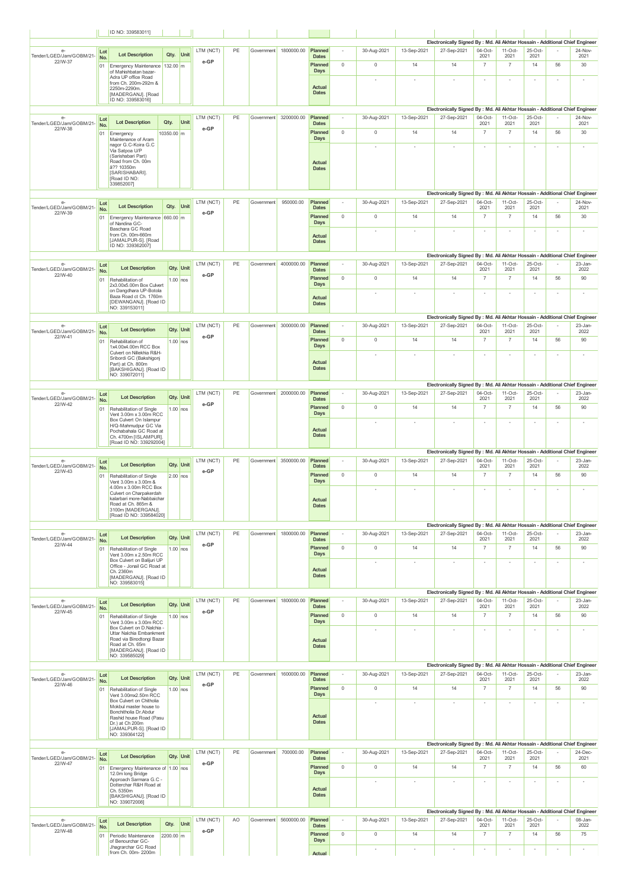|                                             |            | ID NO: 3395830111                                                                    |                   |                         |                   |    |            |                       |                                        |                          |             |                          |                                                                                              |                          |                        |                 |        |                 |
|---------------------------------------------|------------|--------------------------------------------------------------------------------------|-------------------|-------------------------|-------------------|----|------------|-----------------------|----------------------------------------|--------------------------|-------------|--------------------------|----------------------------------------------------------------------------------------------|--------------------------|------------------------|-----------------|--------|-----------------|
| $e-$                                        | Lot        |                                                                                      |                   |                         | LTM (NCT)         | PE |            | Government 1800000.00 | Planned                                | $\sim$                   | 30-Aug-2021 | 13-Sep-2021              | Electronically Signed By : Md. Ali Akhtar Hossain - Additional Chief Engineer<br>27-Sep-2021 | 04-Oct-                  | $11-Oct-$              | 25-Oct-         |        | 24-Nov-         |
| Tender/LGED/Jam/GOBM/21-<br>22/W-37         | No.<br>01  | <b>Lot Description</b><br>Emergency Maintenance 132.00 m                             | Qty.              | Unit                    | e-GP              |    |            |                       | <b>Dates</b><br>Planned<br>Days        | $\mathbb O$              | $\mathbb O$ | 14                       | 14                                                                                           | 2021<br>$\overline{7}$   | 2021<br>$\overline{7}$ | 2021<br>14      | 56     | 2021<br>30      |
|                                             |            | of Mahishbatan bazar-<br>Adra UP office Road<br>from Ch. 200m-292m &                 |                   |                         |                   |    |            |                       |                                        |                          | ٠           |                          | ×                                                                                            | $\sim$                   | ٠                      | $\sim$          | $\sim$ | $\sim$          |
|                                             |            | 2250m-2290m.<br>[MADERGANJ]. [Road<br>ID NO: 339583016]                              |                   |                         |                   |    |            |                       | <b>Actual</b><br><b>Dates</b>          |                          |             |                          |                                                                                              |                          |                        |                 |        |                 |
|                                             |            |                                                                                      |                   |                         |                   |    |            |                       |                                        |                          |             |                          | Electronically Signed By : Md. Ali Akhtar Hossain - Additional Chief Engineer                |                          |                        |                 |        |                 |
| $e-$<br>Tender/LGED/Jam/GOBM/21-<br>22/W-38 | Lot<br>No. | <b>Lot Description</b>                                                               | Qty.              | Unit                    | LTM (NCT)<br>e-GP | PE |            | Government 3200000.00 | Planned<br><b>Dates</b>                |                          | 30-Aug-2021 | 13-Sep-2021              | 27-Sep-2021                                                                                  | 04-Oct-<br>2021          | $11-Oct-$<br>2021      | 25-Oct-<br>2021 |        | 24-Nov-<br>2021 |
|                                             | 01         | Emergency<br>Maintenance of Aram<br>nagor G.C-Koira G.C                              | 10350.00 m        |                         |                   |    |            |                       | Planned<br><b>Days</b>                 | $\mathbb O$              | $\mathbb O$ | 14                       | 14                                                                                           | $\overline{7}$           | $\overline{7}$         | 14              | 56     | 30              |
|                                             |            | Via Satpoa U/P<br>(Sarishabari Part)                                                 |                   |                         |                   |    |            |                       |                                        |                          | $\sim$      | $\overline{\phantom{a}}$ | ٠                                                                                            | $\sim$                   | ٠                      | $\sim$          | $\sim$ | $\sim$          |
|                                             |            | Road from Ch. 00m<br>å?? 10350m<br>[SARISHABARI].                                    |                   |                         |                   |    |            |                       | Actual<br><b>Dates</b>                 |                          |             |                          |                                                                                              |                          |                        |                 |        |                 |
|                                             |            | [Road ID NO:<br>339852007]                                                           |                   |                         |                   |    |            |                       |                                        |                          |             |                          |                                                                                              |                          |                        |                 |        |                 |
|                                             |            |                                                                                      |                   |                         |                   |    |            |                       |                                        |                          |             |                          | Electronically Signed By : Md. Ali Akhtar Hossain - Additional Chief Engineer                |                          |                        |                 |        |                 |
| $e-$<br>Tender/LGED/Jam/GOBM/21-<br>22/W-39 | Lot<br>No. | <b>Lot Description</b>                                                               | Qty.              | Unit                    | LTM (NCT)<br>e-GP | PE | Government | 950000.00             | Planned<br><b>Dates</b>                | $\overline{\phantom{a}}$ | 30-Aug-2021 | 13-Sep-2021              | 27-Sep-2021                                                                                  | 04-Oct-<br>2021          | $11-Oct-$<br>2021      | 25-Oct-<br>2021 |        | 24-Nov-<br>2021 |
|                                             |            | 01 Emergency Maintenance 660.00 m<br>of Nandina GC-<br>Baschara GC Road              |                   |                         |                   |    |            |                       | Planned<br><b>Days</b>                 | $\mathbb O$              | $\mathbb O$ | 14                       | 14                                                                                           | $\overline{7}$           | $\overline{7}$         | 14              | 56     | 30              |
|                                             |            | from Ch. 00m-660m<br>[JAMALPUR-S]. [Road                                             |                   |                         |                   |    |            |                       | <b>Actual</b><br><b>Dates</b>          |                          | ٠           |                          | $\overline{a}$                                                                               | $\sim$                   | ×                      | $\sim$          | $\sim$ | $\sim$          |
|                                             |            | ID NO: 339362007]                                                                    |                   |                         |                   |    |            |                       |                                        |                          |             |                          | Electronically Signed By : Md. Ali Akhtar Hossain - Additional Chief Engineer                |                          |                        |                 |        |                 |
| $e-$<br>Tender/LGED/Jam/GOBM/21-            | Lot<br>No. | <b>Lot Description</b>                                                               |                   | Qty. Unit               | LTM (NCT)         | PE |            | Government 4000000.00 | Planned<br><b>Dates</b>                |                          | 30-Aug-2021 | 13-Sep-2021              | 27-Sep-2021                                                                                  | 04-Oct-<br>2021          | $11-Oct-$<br>2021      | 25-Oct-<br>2021 |        | 23-Jan-<br>2022 |
| 22/W-40                                     | 01         | Rehabilitation of<br>2x3.00x5.00m Box Culvert                                        |                   | $1.00$ nos              | e-GP              |    |            |                       | Planned<br><b>Days</b>                 | $\mathbb O$              | $\mathbb O$ | 14                       | 14                                                                                           | $\overline{7}$           | $\overline{7}$         | 14              | 56     | 90              |
|                                             |            | on Dangdhara UP-Botola<br>Baza Road ct Ch. 1760m                                     |                   |                         |                   |    |            |                       | Actual                                 |                          | ٠           |                          |                                                                                              |                          |                        | $\sim$          |        | ٠               |
|                                             |            | [DEWANGANJ]. [Road ID<br>NO: 339153011]                                              |                   |                         |                   |    |            |                       | <b>Dates</b>                           |                          |             |                          |                                                                                              |                          |                        |                 |        |                 |
| $e-$                                        | Lot        |                                                                                      |                   |                         | LTM (NCT)         | PE |            | Government 3000000.00 | Planned                                |                          | 30-Aug-2021 | 13-Sep-2021              | Electronically Signed By : Md. Ali Akhtar Hossain - Additional Chief Engineer<br>27-Sep-2021 | 04-Oct-                  | $11-Oct-$              | 25-Oct-         |        | 23-Jan-         |
| Tender/LGED/Jam/GOBM/21-<br>22/W-41         | No.<br>01  | <b>Lot Description</b><br>Rehabilitation of                                          |                   | Qty. Unit<br>$1.00$ nos | e-GP              |    |            |                       | <b>Dates</b><br>Planned                | $\circ$                  | $\mathbb O$ | 14                       | 14                                                                                           | 2021<br>$\overline{7}$   | 2021<br>$\overline{7}$ | 2021<br>14      | 56     | 2022<br>90      |
|                                             |            | 1x4.00x4.00m RCC Box<br>Culvert on Nillekhia R&H-                                    |                   |                         |                   |    |            |                       | Days                                   |                          | ×           | $\sim$                   | $\overline{a}$                                                                               | $\sim$                   | ×                      | $\sim$          | $\sim$ | $\sim$          |
|                                             |            | Sribordi GC (Bakshigonj<br>Part) at Ch. 800m<br>[BAKSHIGANJ]. [Road ID               |                   |                         |                   |    |            |                       | Actual<br><b>Dates</b>                 |                          |             |                          |                                                                                              |                          |                        |                 |        |                 |
|                                             |            | NO: 339072011]                                                                       |                   |                         |                   |    |            |                       |                                        |                          |             |                          | Electronically Signed By : Md. Ali Akhtar Hossain - Additional Chief Engineer                |                          |                        |                 |        |                 |
| $e-$<br>Tender/LGED/Jam/GOBM/21-            | Lot        | <b>Lot Description</b>                                                               |                   | Qty. Unit               | LTM (NCT)         | PE |            | Government 2000000.00 | Planned<br><b>Dates</b>                |                          | 30-Aug-2021 | 13-Sep-2021              | 27-Sep-2021                                                                                  | 04-Oct-<br>2021          | $11-Oct-$<br>2021      | 25-Oct-<br>2021 |        | 23-Jan-<br>2022 |
| 22/W-42                                     | No.<br>01  | Rehabilitation of Single                                                             |                   | $1.00$ nos              | e-GP              |    |            |                       | <b>Planned</b>                         | $\mathbb O$              | $\mathbb O$ | 14                       | 14                                                                                           | $\overline{7}$           | $\overline{7}$         | 14              | 56     | 90              |
|                                             |            | Vent 3.00m x 3.00m RCC<br>Box Culvert On Islampur<br>H/Q-Mahmudpur GC Via            |                   |                         |                   |    |            |                       | Days                                   |                          | ٠           |                          | $\sim$                                                                                       | ٠                        | $\sim$                 | $\sim$          | $\sim$ | $\sim$          |
|                                             |            | Pochabahala GC Road at<br>Ch. 4700m [ISLAMPUR].                                      |                   |                         |                   |    |            |                       | <b>Actual</b><br><b>Dates</b>          |                          |             |                          |                                                                                              |                          |                        |                 |        |                 |
|                                             |            |                                                                                      |                   |                         |                   |    |            |                       |                                        |                          |             |                          |                                                                                              |                          |                        |                 |        |                 |
|                                             |            | [Road ID NO: 339292004]                                                              |                   |                         |                   |    |            |                       |                                        |                          |             |                          | Electronically Signed By : Md. Ali Akhtar Hossain - Additional Chief Engineer                |                          |                        |                 |        |                 |
| e-<br>Tender/LGED/Jam/GOBM/21-              | Lot<br>No. | <b>Lot Description</b>                                                               |                   | Qty. Unit               | LTM (NCT)         | PE |            | Government 3500000.00 | Planned<br><b>Dates</b>                | $\overline{\phantom{a}}$ | 30-Aug-2021 | 13-Sep-2021              | 27-Sep-2021                                                                                  | 04-Oct-<br>2021          | $11-Oct-$<br>2021      | 25-Oct-<br>2021 |        | 23-Jan-<br>2022 |
| 22/W-43                                     | 01         | Rehabilitation of Single<br>Vent 3.00m x 3.00m &                                     |                   | $2.00$ nos              | e-GP              |    |            |                       | Planned<br>Days                        | $\mathbb O$              | $\mathbb O$ | 14                       | 14                                                                                           | $\overline{7}$           | $\overline{7}$         | 14              | 56     | 90              |
|                                             |            | 4.00m x 3.00m RCC Box<br>Culvert on Charpakerdah                                     |                   |                         |                   |    |            |                       |                                        |                          | ×           |                          |                                                                                              |                          |                        | ٠               |        | ×               |
|                                             |            | kalarbari more-Nabbaichar<br>Road at Ch. 865m &<br>3100m [MADERGANJ].                |                   |                         |                   |    |            |                       | <b>Actual</b><br><b>Dates</b>          |                          |             |                          |                                                                                              |                          |                        |                 |        |                 |
|                                             |            | [Road ID NO: 339584020]                                                              |                   |                         |                   |    |            |                       |                                        |                          |             |                          | Electronically Signed By : Md. Ali Akhtar Hossain - Additional Chief Engineer                |                          |                        |                 |        |                 |
| $e-$<br>Tender/LGED/Jam/GOBM/21-            | Lot<br>No. | <b>Lot Description</b>                                                               |                   | Qty. Unit               | LTM (NCT)         | PE |            | Government 1800000.00 | Planned<br><b>Dates</b>                | $\sim$                   | 30-Aug-2021 | 13-Sep-2021              | 27-Sep-2021                                                                                  | 04-Oct-<br>2021          | $11-Oct-$<br>2021      | 25-Oct-<br>2021 |        | 23-Jan-<br>2022 |
| 22/W-44                                     | 01         | Rehabilitation of Single<br>Vent 3.00m x 2.50m RCC                                   |                   | $1.00$ nos              | e-GP              |    |            |                       | Planned<br>Days                        | $\mathbf{0}$             | $\mathbb O$ | 14                       | 14                                                                                           | $\overline{7}$           | $\overline{7}$         | 14              | 56     | 90              |
|                                             |            | Box Culvert on Balijuri UP<br>Office - Jonail GC Road at                             |                   |                         |                   |    |            |                       |                                        |                          | ٠           |                          |                                                                                              |                          | ×,                     | $\sim$          |        | ×               |
|                                             |            | Ch. 2360m<br>[MADERGANJ]. [Road ID<br>NO: 339583015]                                 |                   |                         |                   |    |            |                       | <b>Actual</b><br><b>Dates</b>          |                          |             |                          |                                                                                              |                          |                        |                 |        |                 |
|                                             |            |                                                                                      |                   |                         |                   |    |            |                       |                                        |                          |             |                          | Electronically Signed By : Md. Ali Akhtar Hossain - Additional Chief Engineer                |                          |                        |                 |        |                 |
| $e-$<br>Tender/LGED/Jam/GOBM/21-<br>22/W-45 | Lot<br>No. | <b>Lot Description</b>                                                               |                   | Qty. Unit               | LTM (NCT)<br>e-GP | PE | Government | 1800000.00            | Planned<br><b>Dates</b>                | $\overline{\phantom{a}}$ | 30-Aug-2021 | 13-Sep-2021              | 27-Sep-2021                                                                                  | $04-Oct$<br>2021         | $11-Oct-$<br>2021      | 25-Oct-<br>2021 |        | 23-Jan-<br>2022 |
|                                             | 01         | Rehabilitation of Single<br>Vent 3.00m x 3.00m RCC                                   |                   | $1.00$ nos              |                   |    |            |                       | Planned<br><b>Days</b>                 | $\mathbb O$              | $\mathbb O$ | 14                       | 14                                                                                           | $\overline{7}$           | $\overline{7}$         | 14              | 56     | 90              |
|                                             |            | Box Culvert on D. Nalchia -<br>Uttar Nalchia Embankment<br>Road via Binodtongi Bazar |                   |                         |                   |    |            |                       | <b>Actual</b>                          |                          | ٠           |                          |                                                                                              | ×                        |                        | ×               | $\sim$ | ×.              |
|                                             |            | Road at Ch. 65m<br>[MADERGANJ]. [Road ID                                             |                   |                         |                   |    |            |                       | <b>Dates</b>                           |                          |             |                          |                                                                                              |                          |                        |                 |        |                 |
|                                             |            | NO: 339585029]                                                                       |                   |                         |                   |    |            |                       |                                        |                          |             |                          | Electronically Signed By : Md. Ali Akhtar Hossain - Additional Chief Engineer                |                          |                        |                 |        |                 |
| $e-$<br>Tender/LGED/Jam/GOBM/21-            | Lot<br>No. | <b>Lot Description</b>                                                               |                   | Qty. Unit               | LTM (NCT)         | PE | Government | 1600000.00            | Planned<br><b>Dates</b>                | $\overline{\phantom{a}}$ | 30-Aug-2021 | 13-Sep-2021              | 27-Sep-2021                                                                                  | 04-Oct-<br>2021          | $11-Oct-$<br>2021      | 25-Oct-<br>2021 |        | 23-Jan-<br>2022 |
| 22/W-46                                     | 01         | Rehabilitation of Single<br>Vent 3.00mx2.50m RCC                                     |                   | $1.00$ nos              | e-GP              |    |            |                       | Planned<br><b>Days</b>                 | $\circ$                  | $\mathbb O$ | 14                       | 14                                                                                           | $\overline{7}$           | $\overline{7}$         | 14              | 56     | 90              |
|                                             |            | Box Culvert on Chitholia<br>Mokbul master house to                                   |                   |                         |                   |    |            |                       |                                        |                          | ٠           | $\sim$                   | $\sim$                                                                                       | $\overline{\phantom{a}}$ |                        | $\sim$          | $\sim$ | ٠               |
|                                             |            | Bonchitholia Dr.Abdur<br>Rashid house Road (Pasu<br>Dr.) at Ch 200m                  |                   |                         |                   |    |            |                       | <b>Actual</b><br><b>Dates</b>          |                          |             |                          |                                                                                              |                          |                        |                 |        |                 |
|                                             |            | [JAMALPUR-S]. [Road ID<br>NO: 339364122]                                             |                   |                         |                   |    |            |                       |                                        |                          |             |                          |                                                                                              |                          |                        |                 |        |                 |
| $e-$                                        |            |                                                                                      |                   |                         | LTM (NCT)         | PE | Government | 700000.00             | Planned                                |                          | 30-Aug-2021 | 13-Sep-2021              | Electronically Signed By : Md. Ali Akhtar Hossain - Additional Chief Engineer<br>27-Sep-2021 | 04-Oct-                  | $11-Oct-$              | 25-Oct-         |        | 24-Dec-         |
| Tender/LGED/Jam/GOBM/21-<br>22/W-47         | Lot<br>No. | <b>Lot Description</b>                                                               |                   | Qty. Unit               | e-GP              |    |            |                       | <b>Dates</b><br>Planned                | $\mathbb O$              | $\mathbb O$ | 14                       | 14                                                                                           | 2021<br>$\overline{7}$   | 2021<br>$\overline{7}$ | 2021<br>14      | 56     | 2021<br>60      |
|                                             |            | 01 Emergency Maintenance of 1.00 nos<br>12.0m long Bridge<br>Approach Sarmara G.C -  |                   |                         |                   |    |            |                       | Days                                   |                          | ×           |                          |                                                                                              | ٠                        | ٠                      | ٠               |        | ٠               |
|                                             |            | Dotterchar R&H Road at<br>Ch. 5350m                                                  |                   |                         |                   |    |            |                       | <b>Actual</b><br><b>Dates</b>          |                          |             |                          |                                                                                              |                          |                        |                 |        |                 |
|                                             |            | [BAKSHIGANJ]. [Road ID<br>NO: 339072008]                                             |                   |                         |                   |    |            |                       |                                        |                          |             |                          |                                                                                              |                          |                        |                 |        |                 |
| $e-$                                        | Lot        | <b>Lot Description</b>                                                               |                   | Unit                    | LTM (NCT)         | AO |            | Government 5600000.00 | Planned                                | $\sim$                   | 30-Aug-2021 | 13-Sep-2021              | Electronically Signed By : Md. Ali Akhtar Hossain - Additional Chief Engineer<br>27-Sep-2021 | $04-Oct-$                | $11-Oct-$              | $25-Oct-$       |        | 08-Jan-         |
| Tender/LGED/Jam/GOBM/21-<br>22/W-48         | No.<br>01  | Periodic Maintenance<br>of Benourchar GC-                                            | Qty.<br>2200.00 m |                         | e-GP              |    |            |                       | <b>Dates</b><br>Planned<br><b>Days</b> | $\mathbb O$              | $\mathbb O$ | 14                       | 14                                                                                           | 2021<br>$\overline{7}$   | 2021<br>$\overline{7}$ | 2021<br>14      | 56     | 2022<br>75      |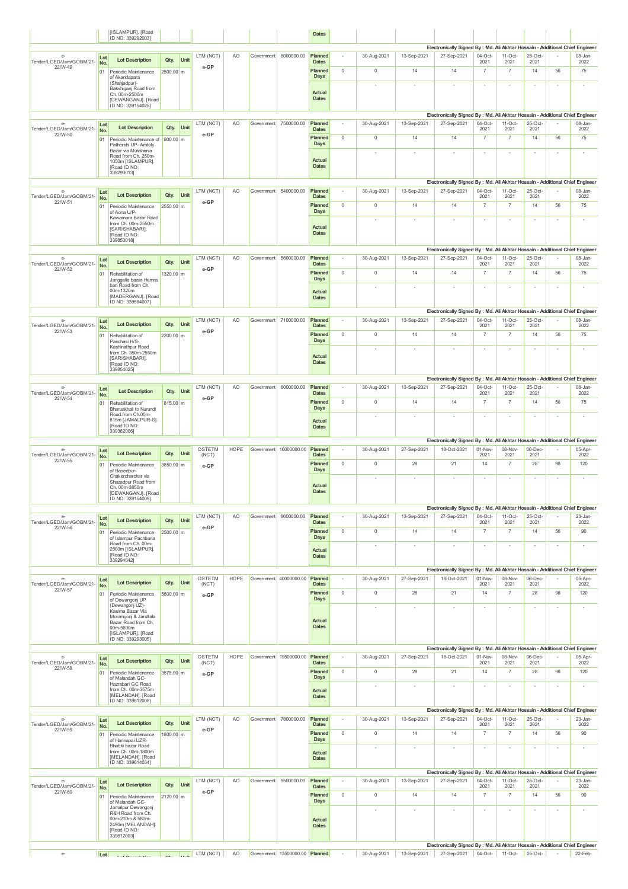|                                             |            | [ISLAMPUR]. [Road<br>ID NO: 339292003]                                                                                  |                   |             |                                                                                                           |             |            |                                | <b>Dates</b>                   |                |                          |              |                                                                                              |                          |                          |                          |                          |                          |
|---------------------------------------------|------------|-------------------------------------------------------------------------------------------------------------------------|-------------------|-------------|-----------------------------------------------------------------------------------------------------------|-------------|------------|--------------------------------|--------------------------------|----------------|--------------------------|--------------|----------------------------------------------------------------------------------------------|--------------------------|--------------------------|--------------------------|--------------------------|--------------------------|
|                                             |            |                                                                                                                         |                   |             |                                                                                                           |             |            |                                |                                |                |                          |              | Electronically Signed By : Md. Ali Akhtar Hossain - Additional Chief Engineer                |                          |                          |                          |                          |                          |
| $e-$<br>Tender/LGED/Jam/GOBM/21-            | Lot<br>No. | <b>Lot Description</b>                                                                                                  | Qty.              | Unit        | LTM (NCT)                                                                                                 | AO          | Government | 6000000.00                     | Planned<br><b>Dates</b>        |                | 30-Aug-2021              | 13-Sep-2021  | 27-Sep-2021                                                                                  | $04-Oct$<br>2021         | $11-Oct$<br>2021         | 25-Oct-<br>2021          |                          | 08-Jan-<br>2022          |
| 22/W-49                                     | 01         | Periodic Maintenance<br>of Akandapara                                                                                   | 2500.00 m         |             | e-GP                                                                                                      |             |            |                                | Planned<br>Days                | $\mathbf 0$    | $\mathbb O$              | 14           | 14                                                                                           | $\overline{7}$           | $\overline{7}$           | 14                       | 56                       | 75                       |
|                                             |            | (Shahjadpur)-<br>Bakshiganj Road from<br>Ch. 00m-2500m<br>[DEWANGANJ]. [Road<br>ID NO: 339154025]                       |                   |             |                                                                                                           |             |            |                                | Actual<br><b>Dates</b>         |                | ÷,                       |              |                                                                                              | $\sim$                   | ×                        | $\sim$                   | $\sim$                   | $\sim$                   |
|                                             |            |                                                                                                                         |                   |             |                                                                                                           |             |            |                                |                                |                |                          |              | Electronically Signed By : Md. Ali Akhtar Hossain - Additional Chief Engineer                |                          |                          |                          |                          |                          |
| $e-$<br>Tender/LGED/Jam/GOBM/21-            | Lot<br>No. | <b>Lot Description</b>                                                                                                  | Qty.              | Unit        | LTM (NCT)                                                                                                 | AO          |            | Government 7500000.00          | Planned<br><b>Dates</b>        | $\sim$         | 30-Aug-2021              | 13-Sep-2021  | 27-Sep-2021                                                                                  | 04-Oct-<br>2021          | $11-Oct-$<br>2021        | 25-Oct-<br>2021          |                          | 08-Jan-<br>2022          |
| 22/W-50                                     | 01         | Periodic Maintenance of<br>Pathershi UP- Amtoly                                                                         | 800.00 m          |             | e-GP                                                                                                      |             |            |                                | Planned<br>Days                | $\mathbb O$    | $\mathbb O$              | 14           | 14                                                                                           | $\overline{7}$           | $\overline{7}$           | 14                       | 56                       | 75                       |
|                                             |            | Bazar via Mukshimla<br>Road from Ch. 250m-<br>1050m [ISLAMPUR].<br>[Road ID NO:<br>339293013]                           |                   |             |                                                                                                           |             |            |                                | Actual<br><b>Dates</b>         |                | ٠                        |              |                                                                                              | $\sim$                   |                          | $\sim$                   | $\sim$                   | ٠                        |
| $e-$                                        | Lot        |                                                                                                                         |                   |             | LTM (NCT)                                                                                                 | AO.         |            | Government 5400000.00          | Planned                        | $\sim$         | 30-Aug-2021              | 13-Sep-2021  | Electronically Signed By : Md. Ali Akhtar Hossain - Additional Chief Engineer<br>27-Sep-2021 | $04-Oct-$                | $11-Oct-$                | 25-Oct-                  | $\sim$                   | 08-Jan-                  |
| Tender/LGED/Jam/GOBM/21-<br>22/W-51         | No.        | <b>Lot Description</b>                                                                                                  | Qty.              | <b>Unit</b> | e-GP                                                                                                      |             |            |                                | <b>Dates</b><br>Planned        | $\mathbf 0$    | $\mathbb O$              | 14           | 14                                                                                           | 2021<br>$\overline{7}$   | 2021<br>$\overline{7}$   | 2021<br>14               | 56                       | 2022<br>75               |
|                                             | 01         | Periodic Maintenance<br>of Aona U/P-<br>Kawamara Bazar Road                                                             | 2550.00 m         |             |                                                                                                           |             |            |                                | <b>Days</b>                    |                |                          |              |                                                                                              |                          |                          |                          |                          |                          |
|                                             |            | from Ch. 00m-2550m<br>[SARISHABARI].<br>[Road ID NO:<br>339853018]                                                      |                   |             |                                                                                                           |             |            |                                | Actual<br><b>Dates</b>         |                |                          |              | Electronically Signed By : Md. Ali Akhtar Hossain - Additional Chief Engineer                |                          |                          |                          |                          | $\sim$                   |
| e-<br>Tender/LGED/Jam/GOBM/21-              | Lot        | <b>Lot Description</b>                                                                                                  | Qty.              | Unit        | LTM (NCT)                                                                                                 | AO          | Government | 5600000.00                     | Planned                        |                | 30-Aug-2021              | 13-Sep-2021  | 27-Sep-2021                                                                                  | $04-Oct$                 | $11-Oct$                 | 25-Oct-<br>2021          |                          | 08-Jan-                  |
| 22/W-52                                     | No.<br>01  | Rehabilitation of                                                                                                       | 1320.00 m         |             | e-GP                                                                                                      |             |            |                                | <b>Dates</b><br>Planned        | $\mathbb O$    | $\mathbb O$              | 14           | 14                                                                                           | 2021<br>$\overline{7}$   | 2021<br>$\overline{7}$   | 14                       | 56                       | 2022<br>75               |
|                                             |            | Janggalia bazar-Hemra<br>bari Road from Ch.                                                                             |                   |             |                                                                                                           |             |            |                                | Days                           |                | ٠                        | ٠            | $\overline{\phantom{a}}$                                                                     | $\sim$                   | $\sim$                   | $\sim$                   | $\sim$                   | $\sim$                   |
|                                             |            | 00m-1320m<br><b>IMADERGANJI, IRoad</b><br>ID NO: 339584007]                                                             |                   |             |                                                                                                           |             |            |                                | Actual<br><b>Dates</b>         |                |                          |              |                                                                                              |                          |                          |                          |                          |                          |
|                                             |            |                                                                                                                         |                   |             |                                                                                                           |             |            |                                |                                |                |                          |              | Electronically Signed By : Md. Ali Akhtar Hossain - Additional Chief Engineer                |                          |                          |                          |                          |                          |
| e-<br>Tender/LGED/Jam/GOBM/21-              | Lot<br>No. | <b>Lot Description</b>                                                                                                  | Qty.              | Unit        | LTM (NCT)                                                                                                 | AO          |            | Government 7100000.00          | Planned<br><b>Dates</b>        |                | 30-Aug-2021              | 13-Sep-2021  | 27-Sep-2021                                                                                  | 04-Oct-<br>2021          | $11-Oct-$<br>2021        | 25-Oct-<br>2021          |                          | 08-Jan-<br>2022          |
| 22/W-53                                     | 01         | Rehabilitation of<br>Panchasi H/S-                                                                                      | 2200.00 m         |             | e-GP                                                                                                      |             |            |                                | Planned<br>Days                | $\mathbb O$    | $\mathbb O$              | 14           | 14                                                                                           | $\overline{7}$           | $\overline{7}$           | 14                       | 56                       | 75                       |
|                                             |            | Kashinathpur Road<br>from Ch. 350m-2550m<br>[SARISHABARI].<br>[Road ID NO:<br>339854025]                                |                   |             |                                                                                                           |             |            |                                | Actual<br><b>Dates</b>         |                | ٠                        | ٠            |                                                                                              | $\sim$                   |                          | $\overline{\phantom{a}}$ | $\sim$                   | ٠                        |
|                                             |            |                                                                                                                         |                   |             |                                                                                                           |             |            |                                |                                |                |                          |              | Electronically Signed By : Md. Ali Akhtar Hossain - Additional Chief Engineer                |                          |                          |                          |                          |                          |
| e-<br>Tender/LGED/Jam/GOBM/21-              | Lot<br>No. | <b>Lot Description</b>                                                                                                  | Qty.              | Unit        | LTM (NCT)                                                                                                 | AO          | Government | 6000000.00                     | Planned<br><b>Dates</b>        |                | 30-Aug-2021              | 13-Sep-2021  | 27-Sep-2021                                                                                  | 04-Oct-<br>2021          | $11-Oct-$<br>2021        | 25-Oct-<br>2021          |                          | 08-Jan-<br>2022          |
| 22/W-54                                     | 01         | Rehabilitation of<br>Bharuakhali to Nurundi                                                                             | 815.00 m          |             | e-GP                                                                                                      |             |            |                                | Planned<br>Days                | $\mathbf 0$    | $\mathbb O$              | 14           | 14                                                                                           | $\overline{7}$           | $\overline{7}$           | 14                       | 56                       | 75                       |
|                                             |            | Road.from Ch.00m-<br>815m [JAMALPUR-S].<br>[Road ID NO:<br>339362006]                                                   |                   |             |                                                                                                           |             |            |                                | Actual<br><b>Dates</b>         |                |                          |              |                                                                                              |                          | $\overline{\phantom{a}}$ | $\overline{\phantom{a}}$ |                          | $\overline{\phantom{a}}$ |
| e-                                          | Lot        |                                                                                                                         |                   |             | OSTETM                                                                                                    | <b>HOPE</b> |            | Government 16000000.00         | Planned                        | $\overline{a}$ | 30-Aug-2021              | 27-Sep-2021  | Electronically Signed By : Md. Ali Akhtar Hossain - Additional Chief Engineer<br>18-Oct-2021 | 01-Nov-                  | 08-Nov-                  | 06-Dec-                  |                          | 05-Apr-                  |
| Tender/LGED/Jam/GOBM/21-<br>22/W-55         | No.        | <b>Lot Description</b>                                                                                                  | Qty.              | Unit        | (NCT)                                                                                                     |             |            |                                | <b>Dates</b><br>Planned        | $\mathbb O$    | $\mathbb O$              | 28           | 21                                                                                           | 2021<br>14               | 2021<br>$\overline{7}$   | 2021<br>28               | 98                       | 2022<br>120              |
|                                             | 01         | Periodic Maintenance<br>of Basedpur-<br>Chakercharchar via<br>Shazadpur Road from<br>Ch. 00m-3850m                      | 3850.00 m         |             | e-GP                                                                                                      |             |            |                                | Days<br>Actual                 |                |                          |              |                                                                                              |                          |                          | $\overline{\phantom{a}}$ | $\overline{\phantom{a}}$ | $\overline{\phantom{a}}$ |
|                                             |            | [DEWANGANJ]. [Road<br>ID NO: 339154009]                                                                                 |                   |             | LTM (NCT)                                                                                                 | AO          | Government | 8600000.00                     | <b>Dates</b><br>Planned        |                | 30-Aug-2021              |              | Electronically Signed By : Md. Ali Akhtar Hossain - Additional Chief Engineer<br>27-Sep-2021 | 04-Oct-                  | $11-Oct-$                | 25-Oct-                  |                          | 23-Jan-                  |
| $e-$<br>Tender/LGED/Jam/GOBM/21-<br>22/W-56 | Lot<br>No. | <b>Lot Description</b>                                                                                                  | Qty.              | Unit        | e-GP                                                                                                      |             |            |                                | <b>Dates</b>                   |                |                          | 13-Sep-2021  |                                                                                              | 2021                     | 2021                     | 2021                     |                          | 2022                     |
|                                             | 01         | Periodic Maintenance<br>of Islampur Pachbaria<br>Road from Ch. 00m-<br>2500m [ISLAMPUR].<br><b>IRoad ID NO:</b>         | 2500.00 m         |             |                                                                                                           |             |            |                                | Planned<br>Days<br>Actual      | $\mathbb O$    | $\mathbb O$<br>$\sim$    | 14<br>$\sim$ | 14<br>$\sim$                                                                                 | $\overline{7}$<br>$\sim$ | $\overline{7}$<br>$\sim$ | 14<br>$\sim$             | 56<br>$\sim$             | 90<br>$\sim$             |
|                                             |            | 339294042]                                                                                                              |                   |             |                                                                                                           |             |            |                                | <b>Dates</b>                   |                |                          |              |                                                                                              |                          |                          |                          |                          |                          |
| $e-$                                        | Lot        |                                                                                                                         |                   |             | OSTETM                                                                                                    | <b>HOPE</b> |            | Government 40000000.00         | Planned                        |                | 30-Aug-2021              | 27-Sep-2021  | Electronically Signed By : Md. Ali Akhtar Hossain - Additional Chief Engineer<br>18-Oct-2021 | 01-Nov-                  | 08-Nov-                  | 06-Dec-                  |                          | 05-Apr-                  |
| Tender/LGED/Jam/GOBM/21-<br>22/W-57         | No.<br>01  | <b>Lot Description</b><br>Periodic Maintenance                                                                          | Qty.<br>5600.00 m | Unit        | (NCT)<br>e-GP                                                                                             |             |            |                                | <b>Dates</b><br>Planned        | $\mathbf 0$    | $\mathbb O$              | 28           | 21                                                                                           | 2021<br>14               | 2021<br>$\overline{7}$   | 2021<br>28               | 98                       | 2022<br>120              |
|                                             |            | of Dewangonj UP<br>(Dewangonj UZ)-                                                                                      |                   |             |                                                                                                           |             |            |                                | Days                           |                | ٠                        | ×            | $\overline{a}$                                                                               | $\sim$                   | $\sim$                   | $\sim$                   | $\sim$                   | $\sim$                   |
|                                             |            | Kasima Bazar Via<br>Molomgonj & Jarultala<br>Bazar Road from Ch.<br>00m-5600m<br>[ISLAMPUR]. [Road<br>ID NO: 339293005] |                   |             |                                                                                                           |             |            |                                | Actual<br><b>Dates</b>         |                |                          |              |                                                                                              |                          |                          |                          |                          |                          |
|                                             |            |                                                                                                                         |                   |             | OSTETM                                                                                                    | <b>HOPE</b> |            | Government 19500000.00         | Planned                        |                | 30-Aug-2021              | 27-Sep-2021  | Electronically Signed By : Md. Ali Akhtar Hossain - Additional Chief Engineer<br>18-Oct-2021 | 01-Nov-                  | 08-Nov-                  | 06-Dec-                  |                          | 05-Apr-                  |
| e-<br>Tender/LGED/Jam/GOBM/21-<br>22/W-58   | Lot<br>No. | <b>Lot Description</b>                                                                                                  | Qty.              | Unit        | (NCT)                                                                                                     |             |            |                                | <b>Dates</b>                   |                |                          |              |                                                                                              | 2021                     | 2021                     | 2021                     |                          | 2022                     |
|                                             | 01         | Periodic Maintenance<br>of Melandah GC-                                                                                 | 3575.00 m         |             | e-GP                                                                                                      |             |            |                                | Planned<br>Days                | $\mathbb O$    | $\mathbb O$              | 28           | 21                                                                                           | 14                       | $\overline{7}$           | 28                       | 98                       | 120                      |
|                                             |            | Hazrabari GC Road<br>from Ch. 00m-3575m<br>[MELANDAH]. [Road                                                            |                   |             |                                                                                                           |             |            |                                | Actual<br><b>Dates</b>         |                | ٠                        | $\sim$       | $\overline{\phantom{a}}$                                                                     | $\sim$                   | $\overline{\phantom{a}}$ | $\overline{\phantom{a}}$ | $\sim$                   | $\sim$                   |
|                                             |            | ID NO: 339612008]                                                                                                       |                   |             |                                                                                                           |             |            |                                |                                |                |                          |              |                                                                                              |                          |                          |                          |                          |                          |
| e-                                          | Lot        | <b>Lot Description</b>                                                                                                  | Qty.              | Unit        | LTM (NCT)                                                                                                 | AO          | Government | 7800000.00                     | Planned                        |                | 30-Aug-2021              | 13-Sep-2021  | Electronically Signed By : Md. Ali Akhtar Hossain - Additional Chief Engineer<br>27-Sep-2021 | 04-Oct-                  | $11-Oct$                 | 25-Oct-                  |                          | 23-Jan-                  |
| Tender/LGED/Jam/GOBM/21-<br>22/W-59         | No.<br>01  | Periodic Maintenance                                                                                                    | 1800.00 m         |             | e-GP                                                                                                      |             |            |                                | <b>Dates</b><br>Planned        | $\mathbb O$    | $\mathbb O$              | 14           | 14                                                                                           | 2021<br>$\overline{7}$   | 2021<br>$\overline{7}$   | 2021<br>14               | 56                       | 2022<br>90               |
|                                             |            | of Harinapai UZR-<br>Bhabki bazar Road<br>from Ch. 00m-1800m<br>[MELANDAH]. [Road<br>ID NO: 339614034]                  |                   |             |                                                                                                           |             |            |                                | Days<br>Actual<br><b>Dates</b> |                | $\overline{\phantom{a}}$ | $\sim$       | $\overline{\phantom{a}}$                                                                     | $\sim$                   | $\sim$                   | $\sim$                   | $\sim$                   | $\sim$                   |
|                                             |            |                                                                                                                         |                   |             |                                                                                                           |             |            |                                |                                |                |                          |              | Electronically Signed By : Md. Ali Akhtar Hossain - Additional Chief Engineer                |                          |                          |                          |                          |                          |
| e-<br>Tender/LGED/Jam/GOBM/21-<br>22/W-60   | Lot<br>No. | <b>Lot Description</b>                                                                                                  | Qty.              | Unit        | LTM (NCT)<br>e-GP                                                                                         | AO          | Government | 9500000.00                     | Planned<br><b>Dates</b>        |                | 30-Aug-2021              | 13-Sep-2021  | 27-Sep-2021                                                                                  | 04-Oct-<br>2021          | $11-Oct-$<br>2021        | $25-Oct-$<br>2021        |                          | 23-Jan-<br>2022          |
|                                             | 01         | Periodic Maintenance<br>of Melandah GC-                                                                                 | 2120.00 m         |             |                                                                                                           |             |            |                                | Planned<br>Days                | $\mathbb O$    | $\mathbb O$              | 14           | 14                                                                                           | $\overline{7}$           | $\overline{7}$           | 14                       | 56                       | 90                       |
|                                             |            | Jamalpur Dewangonj<br>R&H Road from Ch.<br>00m-210m & 580m-<br>2490m [MELANDAH].<br>[Road ID NO:<br>339612003]          |                   |             |                                                                                                           |             |            |                                | Actual<br><b>Dates</b>         |                |                          |              |                                                                                              | $\sim$                   |                          | $\sim$                   | $\sim$                   | $\sim$                   |
|                                             |            |                                                                                                                         |                   |             |                                                                                                           |             |            |                                |                                |                |                          | 13-Sep-2021  | Electronically Signed By : Md. Ali Akhtar Hossain - Additional Chief Engineer                |                          |                          |                          |                          | 22-Feb-                  |
| $e-$                                        | Lot        | and a state of the state                                                                                                |                   |             | $\begin{array}{ c c c c c }\n\hline\n\end{array}$ $\begin{array}{ c c c }\n\hline\n\end{array}$ LTM (NCT) | AO          |            | Government 13500000.00 Planned |                                |                | 30-Aug-2021              |              | 27-Sep-2021                                                                                  |                          | 04-Oct- 11-Oct-          | 25-Oct-                  |                          |                          |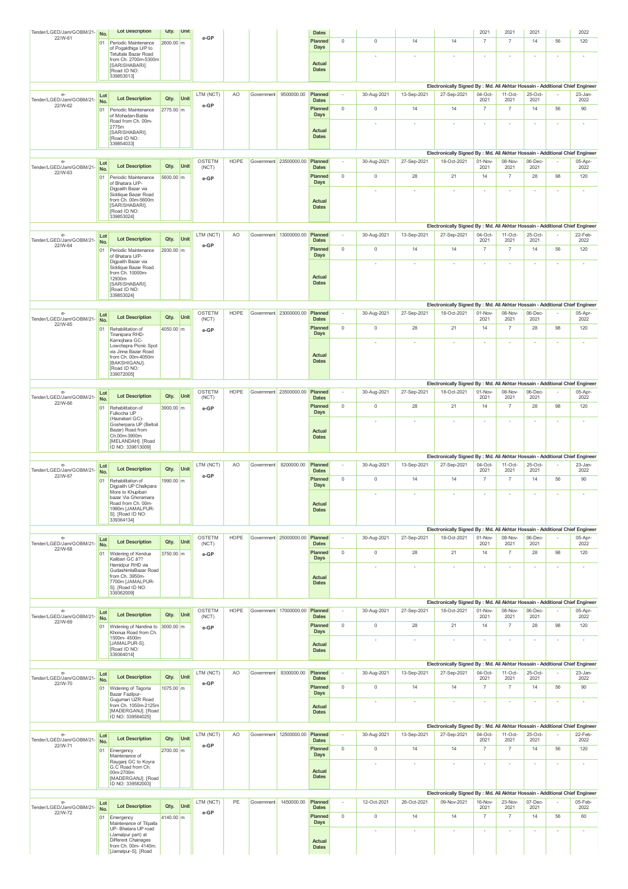| Tender/LGED/Jam/GOBM/21-                    | No.        | <b>Lot Description</b>                                             | Qty.              | Unit |                   |             |            |                        | <b>Dates</b>            |             |             |                          |                                                                                              | 2021                     | 2021                     | 2021                     |                          | 2022                     |
|---------------------------------------------|------------|--------------------------------------------------------------------|-------------------|------|-------------------|-------------|------------|------------------------|-------------------------|-------------|-------------|--------------------------|----------------------------------------------------------------------------------------------|--------------------------|--------------------------|--------------------------|--------------------------|--------------------------|
| 22/W-61                                     | 01         | Periodic Maintenance<br>of Pogaldhiga U/P to                       | 2600.00 m         |      | e-GP              |             |            |                        | Planned<br>Days         | $\mathbb O$ | $\mathbb O$ | 14                       | 14                                                                                           | $\overline{7}$           | $\overline{7}$           | 14                       | 56                       | 120                      |
|                                             |            | Tetultala Bazar Road<br>from Ch. 2700m-5300m                       |                   |      |                   |             |            |                        |                         |             |             |                          |                                                                                              | $\sim$                   |                          | $\sim$                   | $\sim$                   | $\sim$                   |
|                                             |            | [SARISHABARI].<br>[Road ID NO:                                     |                   |      |                   |             |            |                        | Actual<br><b>Dates</b>  |             |             |                          |                                                                                              |                          |                          |                          |                          |                          |
|                                             |            | 339853013]                                                         |                   |      |                   |             |            |                        |                         |             |             |                          |                                                                                              |                          |                          |                          |                          |                          |
| e-                                          | Lot        |                                                                    |                   |      | LTM (NCT)         | AO          | Government | 9500000.00             | Planned                 |             | 30-Aug-2021 | 13-Sep-2021              | Electronically Signed By : Md. Ali Akhtar Hossain - Additional Chief Engineer<br>27-Sep-2021 | $04-Oct$                 | $11-Oct$                 | 25-Oct-                  |                          | 23-Jan-                  |
| Tender/LGED/Jam/GOBM/21-<br>22/W-62         | No.        | <b>Lot Description</b>                                             | Qty.              | Unit | e-GP              |             |            |                        | <b>Dates</b><br>Planned | $\mathbf 0$ | $\mathbb O$ | 14                       | 14                                                                                           | 2021<br>$\overline{7}$   | 2021<br>$\overline{7}$   | 2021<br>14               | 56                       | 2022<br>90               |
|                                             | 01         | Periodic Maintenance<br>of Mohadan-Babla                           | 2775.00 m         |      |                   |             |            |                        | Days                    |             |             |                          |                                                                                              |                          |                          |                          |                          |                          |
|                                             |            | Road from Ch. 00m-<br>2775m                                        |                   |      |                   |             |            |                        | Actual                  |             | ÷,          |                          |                                                                                              | ×                        | ×                        | $\sim$                   | $\sim$                   | ×                        |
|                                             |            | [SARISHABARI].<br>Road ID NO:<br>339854033]                        |                   |      |                   |             |            |                        | <b>Dates</b>            |             |             |                          |                                                                                              |                          |                          |                          |                          |                          |
|                                             |            |                                                                    |                   |      |                   |             |            |                        |                         |             |             |                          | Electronically Signed By : Md. Ali Akhtar Hossain - Additional Chief Engineer                |                          |                          |                          |                          |                          |
| e-<br>Tender/LGED/Jam/GOBM/21-              | Lot<br>No. | <b>Lot Description</b>                                             | Qty.              | Unit | OSTETM<br>(NCT)   | HOPE        |            | Government 23500000.00 | Planned<br><b>Dates</b> |             | 30-Aug-2021 | 27-Sep-2021              | 18-Oct-2021                                                                                  | 01-Nov-<br>2021          | 08-Nov-<br>2021          | 06-Dec-<br>2021          |                          | 05-Apr-<br>2022          |
| 22/W-63                                     | 01         | Periodic Maintenance                                               | 5600.00 m         |      | e-GP              |             |            |                        | Planned                 | $\mathbb O$ | $\mathbb O$ | 28                       | 21                                                                                           | 14                       | $\overline{7}$           | 28                       | 98                       | 120                      |
|                                             |            | of Bhatara U/P-<br>Digpaith Bazar via                              |                   |      |                   |             |            |                        | Days                    |             |             |                          |                                                                                              | $\sim$                   |                          | $\overline{\phantom{a}}$ | $\sim$                   | ٠                        |
|                                             |            | Siddique Bazar Road<br>from Ch. 00m-5600m                          |                   |      |                   |             |            |                        | Actual                  |             |             |                          |                                                                                              |                          |                          |                          |                          |                          |
|                                             |            | [SARISHABARI].<br>Road ID NO:                                      |                   |      |                   |             |            |                        | <b>Dates</b>            |             |             |                          |                                                                                              |                          |                          |                          |                          |                          |
|                                             |            | 339853024]                                                         |                   |      |                   |             |            |                        |                         |             |             |                          | Electronically Signed By : Md. Ali Akhtar Hossain - Additional Chief Engineer                |                          |                          |                          |                          |                          |
| $e-$<br>Tender/LGED/Jam/GOBM/21-            | Lot        | <b>Lot Description</b>                                             | Qty.              | Unit | LTM (NCT)         | AO          |            | Government 13000000.00 | Planned                 | $\sim$      | 30-Aug-2021 | 13-Sep-2021              | 27-Sep-2021                                                                                  | 04-Oct-                  | $11-Oct-$                | 25-Oct-                  |                          | 22-Feb-                  |
| 22/W-64                                     | No.<br>01  | Periodic Maintenance                                               | 2930.00 m         |      | e-GP              |             |            |                        | <b>Dates</b><br>Planned | $\mathbb O$ | $\mathbb O$ | 14                       | 14                                                                                           | 2021<br>$\overline{7}$   | 2021<br>$\overline{7}$   | 2021<br>14               | 56                       | 2022<br>120              |
|                                             |            | of Bhatara U/P-<br>Digpaith Bazar via                              |                   |      |                   |             |            |                        | <b>Days</b>             |             | ÷,          | $\sim$                   |                                                                                              | ×                        |                          | $\sim$                   | $\sim$                   | $\sim$                   |
|                                             |            | Siddique Bazar Road<br>from Ch. 10000m-                            |                   |      |                   |             |            |                        |                         |             |             |                          |                                                                                              |                          |                          |                          |                          |                          |
|                                             |            | 12930m<br>[SARISHABARI].                                           |                   |      |                   |             |            |                        | Actual<br><b>Dates</b>  |             |             |                          |                                                                                              |                          |                          |                          |                          |                          |
|                                             |            | [Road ID NO:<br>339853024]                                         |                   |      |                   |             |            |                        |                         |             |             |                          |                                                                                              |                          |                          |                          |                          |                          |
|                                             |            |                                                                    |                   |      |                   |             |            |                        |                         |             |             |                          | Electronically Signed By : Md. Ali Akhtar Hossain - Additional Chief Engineer                |                          |                          |                          |                          |                          |
| $e-$<br>Tender/LGED/Jam/GOBM/21-            | Lot<br>No. | <b>Lot Description</b>                                             | Qty.              | Unit | OSTETM<br>(NCT)   | <b>HOPE</b> |            | Government 23000000.00 | Planned<br><b>Dates</b> | $\sim$      | 30-Aug-2021 | 27-Sep-2021              | 18-Oct-2021                                                                                  | 01-Nov-<br>2021          | 08-Nov-<br>2021          | 06-Dec-<br>2021          |                          | 05-Apr-<br>2022          |
| 22/W-65                                     | 01         | Rehabilitation of<br>Tinanipara RHD-                               | 4050.00 m         |      | e-GP              |             |            |                        | Planned<br>Days         | $\mathbb O$ | $\mathbb O$ | 28                       | 21                                                                                           | 14                       | $\overline{7}$           | 28                       | 98                       | 120                      |
|                                             |            | Karnojhara GC-<br>Lowchapra Picnic Spot                            |                   |      |                   |             |            |                        |                         |             |             |                          |                                                                                              |                          |                          | $\overline{\phantom{a}}$ |                          | $\overline{\phantom{a}}$ |
|                                             |            | via Jinna Bazar Road<br>from Ch. 00m-4050m                         |                   |      |                   |             |            |                        | Actual                  |             |             |                          |                                                                                              |                          |                          |                          |                          |                          |
|                                             |            | [BAKSHIGANJ].<br>Road ID NO:                                       |                   |      |                   |             |            |                        | <b>Dates</b>            |             |             |                          |                                                                                              |                          |                          |                          |                          |                          |
|                                             |            | 339072005]                                                         |                   |      |                   |             |            |                        |                         |             |             |                          | Electronically Signed By : Md. Ali Akhtar Hossain - Additional Chief Engineer                |                          |                          |                          |                          |                          |
| $e-$                                        | Lot        |                                                                    |                   |      | OSTETM            | <b>HOPE</b> |            | Government 23500000.00 | Planned                 | $\sim$      | 30-Aug-2021 | 27-Sep-2021              | 18-Oct-2021                                                                                  | 01-Nov-                  | 08-Nov-                  | 06-Dec-                  |                          | 05-Apr-                  |
| Tender/LGED/Jam/GOBM/21-<br>22/W-66         | No.<br>01  | <b>Lot Description</b><br>Rehabilitation of                        | Qty.<br>3900.00 m | Unit | (NCT)             |             |            |                        | <b>Dates</b><br>Planned | $\mathbf 0$ | $\mathbb O$ | 28                       | 21                                                                                           | 2021<br>14               | 2021<br>$\overline{7}$   | 2021<br>28               | 98                       | 2022<br>120              |
|                                             |            | Fulkocha UP<br>(Hazrabari GC)-                                     |                   |      | e-GP              |             |            |                        | Days                    |             |             |                          |                                                                                              |                          |                          |                          |                          |                          |
|                                             |            | Gosherpara UP (Beltoil<br>Bazar) Road from                         |                   |      |                   |             |            |                        | Actual                  |             |             |                          |                                                                                              | ×                        |                          | ×                        | $\sim$                   | $\sim$                   |
|                                             |            | Ch.00m-3900m<br>[MELANDAH]. [Road                                  |                   |      |                   |             |            |                        | <b>Dates</b>            |             |             |                          |                                                                                              |                          |                          |                          |                          |                          |
|                                             |            | ID NO: 339613009]                                                  |                   |      |                   |             |            |                        |                         |             |             |                          |                                                                                              |                          |                          |                          |                          |                          |
| е-                                          | Lot        |                                                                    |                   |      | LTM (NCT)         | AO.         |            | Government 8200000.00  | Planned                 | $\sim$      | 30-Aug-2021 | 13-Sep-2021              | Electronically Signed By : Md. Ali Akhtar Hossain - Additional Chief Engineer<br>27-Sep-2021 | $04-Oct-$                | $11-Oct-$                | $25-Oct-$                |                          | 23-Jan-                  |
| Tender/LGED/Jam/GOBM/21-<br>22/W-67         | No.        | <b>Lot Description</b>                                             | Qty.              | Unit | e-GP              |             |            |                        | <b>Dates</b>            |             |             |                          |                                                                                              | 2021                     | 2021<br>$\overline{7}$   | 2021<br>14               |                          | 2022                     |
|                                             | 01         | Rehabilitation of<br>Digpaith UP Chalkpara                         | 1990.00 m         |      |                   |             |            |                        | Planned<br>Days         | $\mathbb O$ | $\mathbb O$ | 14                       | 14                                                                                           | $\overline{7}$           |                          |                          | 56                       | 90                       |
|                                             |            | More to Khupibari<br>bazar Via Ghoramara                           |                   |      |                   |             |            |                        |                         |             | ٠           | ×                        | $\overline{a}$                                                                               | ×                        | ×                        | $\sim$                   | $\sim$                   | $\sim$                   |
|                                             |            | Road from Ch. 00m-<br>1990m [JAMALPUR-<br>S]. [Road ID NO:         |                   |      |                   |             |            |                        | Actual<br><b>Dates</b>  |             |             |                          |                                                                                              |                          |                          |                          |                          |                          |
|                                             |            | 339364134]                                                         |                   |      |                   |             |            |                        |                         |             |             |                          |                                                                                              |                          |                          |                          |                          |                          |
| $e-$                                        |            |                                                                    |                   |      | OSTETM            | <b>HOPE</b> |            | Government 25000000.00 | Planned                 | $\sim$      | 30-Aug-2021 | 27-Sep-2021              | Electronically Signed By : Md. Ali Akhtar Hossain - Additional Chief Engineer<br>18-Oct-2021 | 01-Nov-                  | 08-Nov-                  | 06-Dec-                  |                          | 05-Apr-                  |
| Tender/LGED/Jam/GOBM/21-<br>22/W-68         | Lot<br>No. | <b>Lot Description</b>                                             | Qty.              | Unit | (NCT)             |             |            |                        | <b>Dates</b>            |             |             |                          |                                                                                              | 2021                     | 2021                     | 2021                     |                          | 2022                     |
|                                             | 01         | Widening of Kendua<br>Kalibari GC â??                              | 3750.00 m         |      | e-GP              |             |            |                        | Planned<br>Days         | $\mathbb O$ | $\mathbb O$ | 28                       | 21                                                                                           | 14                       | $\overline{7}$           | 28                       | 98                       | 120                      |
|                                             |            | Hamidpur RHD via<br>GudashimlaBazar Road                           |                   |      |                   |             |            |                        |                         |             |             |                          |                                                                                              | $\sim$                   |                          | $\sim$                   | $\sim$                   | $\overline{\phantom{a}}$ |
|                                             |            | from Ch. 3950m-<br>7700m [JAMALPUR-                                |                   |      |                   |             |            |                        | Actual<br><b>Dates</b>  |             |             |                          |                                                                                              |                          |                          |                          |                          |                          |
|                                             |            | S]. [Road ID NO:<br>339362009]                                     |                   |      |                   |             |            |                        |                         |             |             |                          |                                                                                              |                          |                          |                          |                          |                          |
|                                             |            |                                                                    |                   |      |                   |             |            |                        |                         |             |             |                          | Electronically Signed By : Md. Ali Akhtar Hossain - Additional Chief Engineer                |                          |                          |                          |                          |                          |
| e-<br>Tender/LGED/Jam/GOBM/21-<br>22/W-69   | Lot<br>No. | <b>Lot Description</b>                                             | Qty.              | Unit | OSTETM<br>(NCT)   | <b>HOPE</b> |            | Government 17000000.00 | Planned<br><b>Dates</b> | $\sim$      | 30-Aug-2021 | 27-Sep-2021              | 18-Oct-2021                                                                                  | 01-Nov-<br>2021          | 08-Nov-<br>2021          | 06-Dec-<br>2021          |                          | 05-Apr-<br>2022          |
|                                             | 01         | Widening of Nandina to 3000.00 m<br>Khonua Road from Ch.           |                   |      | e-GP              |             |            |                        | Planned<br>Days         | $\mathbf 0$ | $\mathbb O$ | 28                       | 21                                                                                           | 14                       | $\overline{7}$           | 28                       | 98                       | 120                      |
|                                             |            | 1500m- 4500m<br>[JAMALPUR-S].                                      |                   |      |                   |             |            |                        | Actual                  |             |             |                          | $\overline{\phantom{a}}$                                                                     | $\sim$                   |                          | $\overline{\phantom{a}}$ | $\overline{\phantom{a}}$ | $\overline{\phantom{a}}$ |
|                                             |            | [Road ID NO:<br>339364014]                                         |                   |      |                   |             |            |                        | <b>Dates</b>            |             |             |                          |                                                                                              |                          |                          |                          |                          |                          |
|                                             |            |                                                                    |                   |      |                   |             |            |                        |                         |             |             |                          | Electronically Signed By : Md. Ali Akhtar Hossain - Additional Chief Engineer                |                          |                          |                          |                          |                          |
| e-<br>Tender/LGED/Jam/GOBM/21-              | Lot<br>No. | <b>Lot Description</b>                                             | Qty.              | Unit | LTM (NCT)         | AO          | Government | 8300000.00             | Planned<br><b>Dates</b> |             | 30-Aug-2021 | 13-Sep-2021              | 27-Sep-2021                                                                                  | 04-Oct-<br>2021          | $11-Oct-$<br>2021        | 25-Oct-<br>2021          |                          | 23-Jan-<br>2022          |
| 22/W-70                                     | 01         | Widening of Tagoria<br>Bazar Fazilpur-                             | 1075.00 m         |      | e-GP              |             |            |                        | Planned<br>Days         | $\mathbb O$ | $\mathbb O$ | 14                       | 14                                                                                           | $\overline{7}$           | $\overline{7}$           | 14                       | 56                       | 90                       |
|                                             |            | Gugumari UZR Road<br>from Ch. 1050m-2125m                          |                   |      |                   |             |            |                        |                         |             | ×           | $\overline{\phantom{a}}$ | $\overline{\phantom{a}}$                                                                     | $\overline{\phantom{a}}$ | $\overline{\phantom{a}}$ | $\overline{\phantom{a}}$ | $\overline{\phantom{a}}$ | $\sim$                   |
|                                             |            | [MADERGANJ]. [Road<br>ID NO: 339584025]                            |                   |      |                   |             |            |                        | Actual<br><b>Dates</b>  |             |             |                          |                                                                                              |                          |                          |                          |                          |                          |
|                                             |            |                                                                    |                   |      |                   |             |            |                        |                         |             |             |                          | Electronically Signed By : Md. Ali Akhtar Hossain - Additional Chief Engineer                |                          |                          |                          |                          |                          |
| $e-$<br>Tender/LGED/Jam/GOBM/21-            | Lot<br>No. | <b>Lot Description</b>                                             | Qty.              | Unit | LTM (NCT)         | AO          |            | Government 12500000.00 | Planned<br><b>Dates</b> | $\sim$      | 30-Aug-2021 | 13-Sep-2021              | 27-Sep-2021                                                                                  | 04-Oct-<br>2021          | $11-Oct-$<br>2021        | 25-Oct-<br>2021          |                          | 22-Feb-<br>2022          |
| 22/W-71                                     | 01         | Emergency                                                          | 2700.00 m         |      | e-GP              |             |            |                        | Planned                 | $\mathbb O$ | $\mathbb O$ | 14                       | 14                                                                                           | $\overline{7}$           | $\overline{7}$           | 14                       | 56                       | 120                      |
|                                             |            | Maintenance of<br>Rayganj GC to Koyra                              |                   |      |                   |             |            |                        | Days                    |             |             |                          |                                                                                              | $\overline{\phantom{a}}$ |                          | $\overline{\phantom{a}}$ | $\overline{\phantom{a}}$ | $\overline{\phantom{a}}$ |
|                                             |            | G.C Road from Ch.<br>00m-2700m                                     |                   |      |                   |             |            |                        | Actual<br><b>Dates</b>  |             |             |                          |                                                                                              |                          |                          |                          |                          |                          |
|                                             |            | [MADERGANJ]. [Road<br>ID NO: 339582003]                            |                   |      |                   |             |            |                        |                         |             |             |                          |                                                                                              |                          |                          |                          |                          |                          |
|                                             |            |                                                                    |                   |      |                   |             |            | Government 1450000.00  | Planned                 | $\sim$      | 12-Oct-2021 |                          | Electronically Signed By : Md. Ali Akhtar Hossain - Additional Chief Engineer                |                          | 23-Nov-                  | 07-Dec-                  |                          | 05-Feb-                  |
| $e-$<br>Tender/LGED/Jam/GOBM/21-<br>22/W-72 | Lot<br>No. | <b>Lot Description</b>                                             | Qty.              | Unit | LTM (NCT)<br>e-GP | PE          |            |                        | <b>Dates</b>            |             |             | 26-Oct-2021              | 09-Nov-2021                                                                                  | 16-Nov-<br>2021          | 2021                     | 2021                     |                          | 2022                     |
|                                             | 01         | Emergency<br>Maintenance of Titpalla                               | 4140.00 m         |      |                   |             |            |                        | Planned<br>Days         | $\mathbb O$ | $\mathbb O$ | 14                       | 14                                                                                           | $\overline{7}$           | $\overline{7}$           | 14                       | 56                       | 60                       |
|                                             |            | UP- Bhatara UP road                                                |                   |      |                   |             |            |                        |                         |             |             |                          |                                                                                              |                          |                          |                          |                          | ×                        |
|                                             |            | (Jamalpur part) at                                                 |                   |      |                   |             |            |                        |                         |             |             |                          |                                                                                              |                          |                          |                          |                          |                          |
|                                             |            | Different Chainages<br>from Ch. 00m- 4140m.<br>[Jamalpur-S]. [Road |                   |      |                   |             |            |                        | Actual<br><b>Dates</b>  |             |             |                          |                                                                                              |                          |                          |                          |                          |                          |